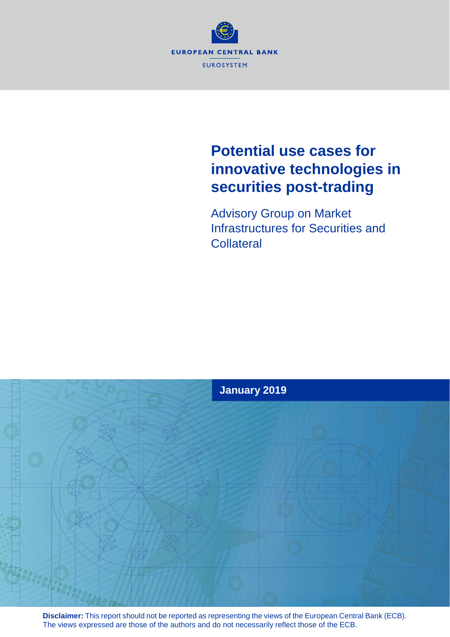

## **Potential use cases for innovative technologies in securities post-trading**

Advisory Group on Market Infrastructures for Securities and **Collateral** 



**Disclaimer:** This report should not be reported as representing the views of the European Central Bank (ECB). The views expressed are those of the authors and do not necessarily reflect those of the ECB.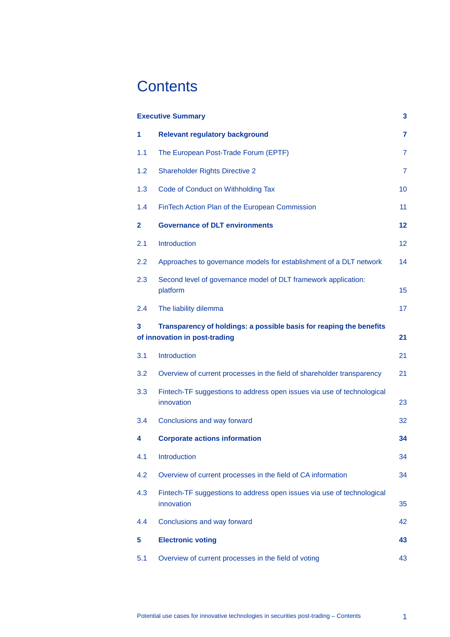## **Contents**

| <b>Executive Summary</b><br>3                                                                                   |                                                                                      |                |
|-----------------------------------------------------------------------------------------------------------------|--------------------------------------------------------------------------------------|----------------|
| 1                                                                                                               | <b>Relevant regulatory background</b>                                                | 7              |
| 1.1                                                                                                             | The European Post-Trade Forum (EPTF)                                                 | $\overline{7}$ |
| 1.2                                                                                                             | <b>Shareholder Rights Directive 2</b>                                                | $\overline{7}$ |
| 1.3                                                                                                             | Code of Conduct on Withholding Tax                                                   | 10             |
| 1.4                                                                                                             | FinTech Action Plan of the European Commission                                       | 11             |
| $\mathbf{2}$                                                                                                    | <b>Governance of DLT environments</b>                                                | $12 \,$        |
| 2.1                                                                                                             | Introduction                                                                         | 12             |
| 2.2                                                                                                             | Approaches to governance models for establishment of a DLT network                   | 14             |
| 2.3                                                                                                             | Second level of governance model of DLT framework application:<br>platform           | 15             |
| 2.4                                                                                                             | The liability dilemma                                                                | 17             |
| Transparency of holdings: a possible basis for reaping the benefits<br>3<br>of innovation in post-trading<br>21 |                                                                                      |                |
| 3.1                                                                                                             | Introduction                                                                         | 21             |
| 3.2                                                                                                             | Overview of current processes in the field of shareholder transparency               | 21             |
| 3.3                                                                                                             | Fintech-TF suggestions to address open issues via use of technological<br>innovation | 23             |
| 3.4                                                                                                             | Conclusions and way forward                                                          | 32             |
| 4                                                                                                               | <b>Corporate actions information</b>                                                 | 34             |
| 4.1                                                                                                             | Introduction                                                                         | 34             |
| 4.2                                                                                                             | Overview of current processes in the field of CA information                         | 34             |
| 4.3                                                                                                             | Fintech-TF suggestions to address open issues via use of technological<br>innovation | 35             |
| 4.4                                                                                                             | Conclusions and way forward                                                          | 42             |
| 5                                                                                                               | <b>Electronic voting</b>                                                             | 43             |
| 5.1                                                                                                             | Overview of current processes in the field of voting                                 | 43             |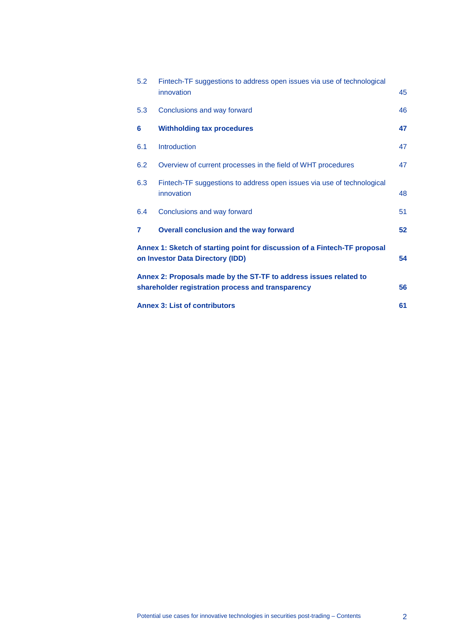| <b>Annex 3: List of contributors</b><br>61                                                                                   |                                                                                      |    |
|------------------------------------------------------------------------------------------------------------------------------|--------------------------------------------------------------------------------------|----|
| Annex 2: Proposals made by the ST-TF to address issues related to<br>shareholder registration process and transparency<br>56 |                                                                                      |    |
| Annex 1: Sketch of starting point for discussion of a Fintech-TF proposal<br>on Investor Data Directory (IDD)<br>54          |                                                                                      |    |
| 7                                                                                                                            | Overall conclusion and the way forward                                               | 52 |
| 6.4                                                                                                                          | Conclusions and way forward                                                          | 51 |
| 6.3                                                                                                                          | Fintech-TF suggestions to address open issues via use of technological<br>innovation | 48 |
| 6.2                                                                                                                          | Overview of current processes in the field of WHT procedures                         | 47 |
| 6.1                                                                                                                          | <b>Introduction</b>                                                                  | 47 |
| 6                                                                                                                            | <b>Withholding tax procedures</b>                                                    | 47 |
| 5.3                                                                                                                          | Conclusions and way forward                                                          | 46 |
| 5.2                                                                                                                          | Fintech-TF suggestions to address open issues via use of technological<br>innovation | 45 |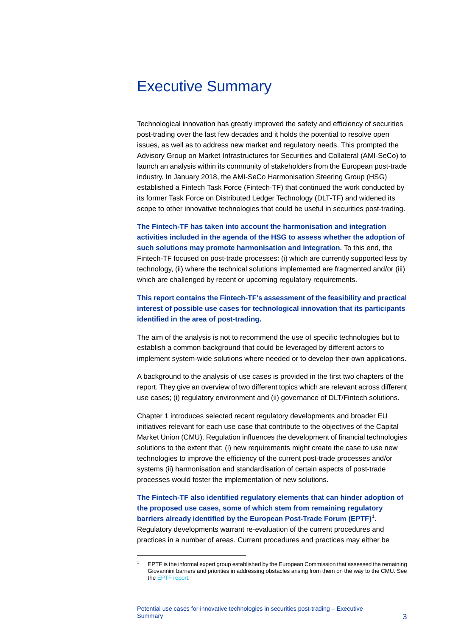## <span id="page-3-0"></span>Executive Summary

Technological innovation has greatly improved the safety and efficiency of securities post-trading over the last few decades and it holds the potential to resolve open issues, as well as to address new market and regulatory needs. This prompted the Advisory Group on Market Infrastructures for Securities and Collateral (AMI-SeCo) to launch an analysis within its community of stakeholders from the European post-trade industry. In January 2018, the AMI-SeCo Harmonisation Steering Group (HSG) established a Fintech Task Force (Fintech-TF) that continued the work conducted by its former Task Force on Distributed Ledger Technology (DLT-TF) and widened its scope to other innovative technologies that could be useful in securities post-trading.

**The Fintech-TF has taken into account the harmonisation and integration activities included in the agenda of the HSG to assess whether the adoption of such solutions may promote harmonisation and integration.** To this end, the Fintech-TF focused on post-trade processes: (i) which are currently supported less by technology, (ii) where the technical solutions implemented are fragmented and/or (iii) which are challenged by recent or upcoming regulatory requirements.

**This report contains the Fintech-TF's assessment of the feasibility and practical interest of possible use cases for technological innovation that its participants identified in the area of post-trading.**

The aim of the analysis is not to recommend the use of specific technologies but to establish a common background that could be leveraged by different actors to implement system-wide solutions where needed or to develop their own applications.

A background to the analysis of use cases is provided in the first two chapters of the report. They give an overview of two different topics which are relevant across different use cases; (i) regulatory environment and (ii) governance of DLT/Fintech solutions.

Chapter 1 introduces selected recent regulatory developments and broader EU initiatives relevant for each use case that contribute to the objectives of the Capital Market Union (CMU). Regulation influences the development of financial technologies solutions to the extent that: (i) new requirements might create the case to use new technologies to improve the efficiency of the current post-trade processes and/or systems (ii) harmonisation and standardisation of certain aspects of post-trade processes would foster the implementation of new solutions.

**The Fintech-TF also identified regulatory elements that can hinder adoption of the proposed use cases, some of which stem from remaining regulatory barriers already identified by the European Post-Trade Forum (EPTF)**[1](#page-3-1) . Regulatory developments warrant re-evaluation of the current procedures and practices in a number of areas. Current procedures and practices may either be

<span id="page-3-1"></span><sup>1</sup> EPTF is the informal expert group established by the European Commission that assessed the remaining Giovannini barriers and priorities in addressing obstacles arising from them on the way to the CMU. See th[e EPTF report.](https://ec.europa.eu/info/sites/info/files/170515-eptf-report_en.pdf)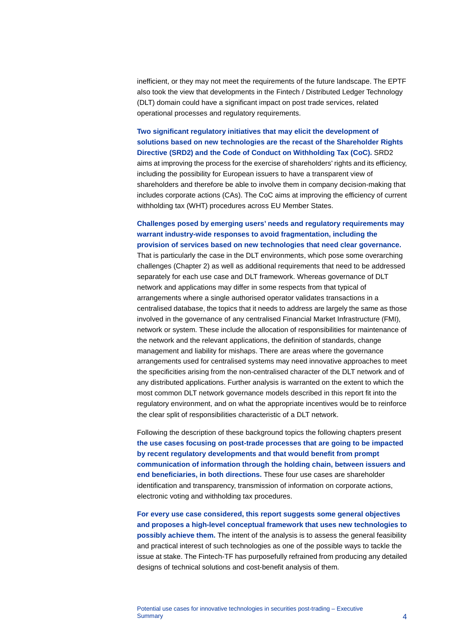inefficient, or they may not meet the requirements of the future landscape. The EPTF also took the view that developments in the Fintech / Distributed Ledger Technology (DLT) domain could have a significant impact on post trade services, related operational processes and regulatory requirements.

#### **Two significant regulatory initiatives that may elicit the development of solutions based on new technologies are the recast of the Shareholder Rights Directive (SRD2) and the Code of Conduct on Withholding Tax (CoC).** SRD2

aims at improving the process for the exercise of shareholders' rights and its efficiency, including the possibility for European issuers to have a transparent view of shareholders and therefore be able to involve them in company decision-making that includes corporate actions (CAs). The CoC aims at improving the efficiency of current withholding tax (WHT) procedures across EU Member States.

#### **Challenges posed by emerging users' needs and regulatory requirements may warrant industry-wide responses to avoid fragmentation, including the provision of services based on new technologies that need clear governance.**

That is particularly the case in the DLT environments, which pose some overarching challenges (Chapter [2\)](#page-12-0) as well as additional requirements that need to be addressed separately for each use case and DLT framework. Whereas governance of DLT network and applications may differ in some respects from that typical of arrangements where a single authorised operator validates transactions in a centralised database, the topics that it needs to address are largely the same as those involved in the governance of any centralised Financial Market Infrastructure (FMI), network or system. These include the allocation of responsibilities for maintenance of the network and the relevant applications, the definition of standards, change management and liability for mishaps. There are areas where the governance arrangements used for centralised systems may need innovative approaches to meet the specificities arising from the non-centralised character of the DLT network and of any distributed applications. Further analysis is warranted on the extent to which the most common DLT network governance models described in this report fit into the regulatory environment, and on what the appropriate incentives would be to reinforce the clear split of responsibilities characteristic of a DLT network.

Following the description of these background topics the following chapters present **the use cases focusing on post-trade processes that are going to be impacted by recent regulatory developments and that would benefit from prompt communication of information through the holding chain, between issuers and end beneficiaries, in both directions.** These four use cases are shareholder identification and transparency, transmission of information on corporate actions, electronic voting and withholding tax procedures.

**For every use case considered, this report suggests some general objectives and proposes a high-level conceptual framework that uses new technologies to possibly achieve them.** The intent of the analysis is to assess the general feasibility and practical interest of such technologies as one of the possible ways to tackle the issue at stake. The Fintech-TF has purposefully refrained from producing any detailed designs of technical solutions and cost-benefit analysis of them.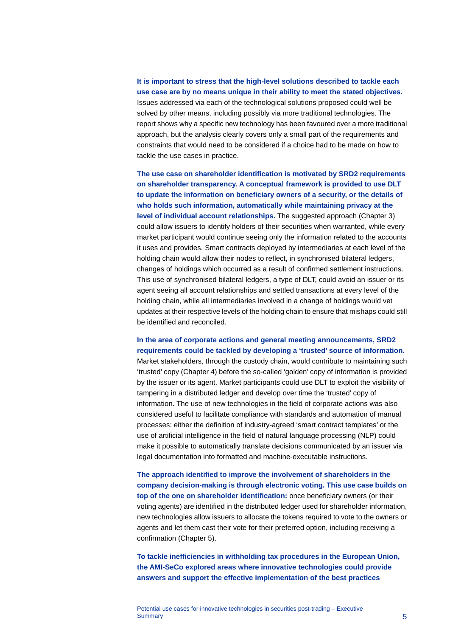**It is important to stress that the high-level solutions described to tackle each use case are by no means unique in their ability to meet the stated objectives.** Issues addressed via each of the technological solutions proposed could well be solved by other means, including possibly via more traditional technologies. The report shows why a specific new technology has been favoured over a more traditional approach, but the analysis clearly covers only a small part of the requirements and constraints that would need to be considered if a choice had to be made on how to tackle the use cases in practice.

**The use case on shareholder identification is motivated by SRD2 requirements on shareholder transparency. A conceptual framework is provided to use DLT to update the information on beneficiary owners of a security, or the details of who holds such information, automatically while maintaining privacy at the level of individual account relationships.** The suggested approach (Chapter 3) could allow issuers to identify holders of their securities when warranted, while every market participant would continue seeing only the information related to the accounts it uses and provides. Smart contracts deployed by intermediaries at each level of the holding chain would allow their nodes to reflect, in synchronised bilateral ledgers, changes of holdings which occurred as a result of confirmed settlement instructions. This use of synchronised bilateral ledgers, a type of DLT, could avoid an issuer or its agent seeing all account relationships and settled transactions at every level of the holding chain, while all intermediaries involved in a change of holdings would vet updates at their respective levels of the holding chain to ensure that mishaps could still be identified and reconciled.

#### **In the area of corporate actions and general meeting announcements, SRD2 requirements could be tackled by developing a 'trusted' source of information.**

Market stakeholders, through the custody chain, would contribute to maintaining such 'trusted' copy (Chapter 4) before the so-called 'golden' copy of information is provided by the issuer or its agent. Market participants could use DLT to exploit the visibility of tampering in a distributed ledger and develop over time the 'trusted' copy of information. The use of new technologies in the field of corporate actions was also considered useful to facilitate compliance with standards and automation of manual processes: either the definition of industry-agreed 'smart contract templates' or the use of artificial intelligence in the field of natural language processing (NLP) could make it possible to automatically translate decisions communicated by an issuer via legal documentation into formatted and machine-executable instructions.

**The approach identified to improve the involvement of shareholders in the company decision-making is through electronic voting. This use case builds on top of the one on shareholder identification:** once beneficiary owners (or their voting agents) are identified in the distributed ledger used for shareholder information, new technologies allow issuers to allocate the tokens required to vote to the owners or agents and let them cast their vote for their preferred option, including receiving a confirmation (Chapter 5).

**To tackle inefficiencies in withholding tax procedures in the European Union, the AMI-SeCo explored areas where innovative technologies could provide answers and support the effective implementation of the best practices**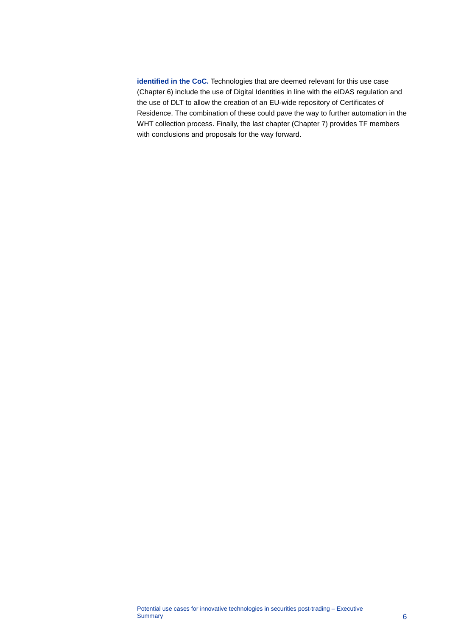**identified in the CoC.** Technologies that are deemed relevant for this use case (Chapter 6) include the use of Digital Identities in line with the eIDAS regulation and the use of DLT to allow the creation of an EU-wide repository of Certificates of Residence. The combination of these could pave the way to further automation in the WHT collection process. Finally, the last chapter (Chapter 7) provides TF members with conclusions and proposals for the way forward.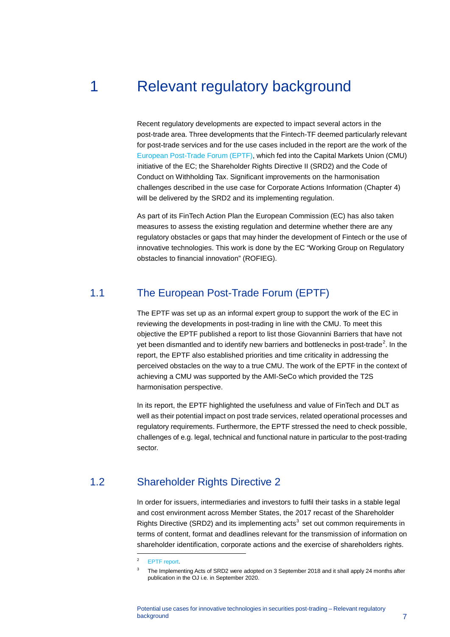## 1 Relevant regulatory background

<span id="page-7-0"></span>Recent regulatory developments are expected to impact several actors in the post-trade area. Three developments that the Fintech-TF deemed particularly relevant for post-trade services and for the use cases included in the report are the work of the [European Post-Trade Forum \(EPTF\),](http://ec.europa.eu/transparency/regexpert/index.cfm?do=groupDetail.groupDetail&groupID=3394) which fed into the Capital Markets Union (CMU) initiative of the EC; the Shareholder Rights Directive II (SRD2) and the Code of Conduct on Withholding Tax. Significant improvements on the harmonisation challenges described in the use case for Corporate Actions Information (Chapter 4) will be delivered by the SRD2 and its implementing regulation.

As part of its FinTech Action Plan the European Commission (EC) has also taken measures to assess the existing regulation and determine whether there are any regulatory obstacles or gaps that may hinder the development of Fintech or the use of innovative technologies. This work is done by the EC "Working Group on Regulatory obstacles to financial innovation" (ROFIEG).

## 1.1 The European Post-Trade Forum (EPTF)

<span id="page-7-1"></span>The EPTF was set up as an informal expert group to support the work of the EC in reviewing the developments in post-trading in line with the CMU. To meet this objective the EPTF published a report to list those Giovannini Barriers that have not yet been dismantled and to identify new barriers and bottlenecks in post-trade<sup>[2](#page-7-3)</sup>. In the report, the EPTF also established priorities and time criticality in addressing the perceived obstacles on the way to a true CMU. The work of the EPTF in the context of achieving a CMU was supported by the AMI-SeCo which provided the T2S harmonisation perspective.

In its report, the EPTF highlighted the usefulness and value of FinTech and DLT as well as their potential impact on post trade services, related operational processes and regulatory requirements. Furthermore, the EPTF stressed the need to check possible, challenges of e.g. legal, technical and functional nature in particular to the post-trading sector.

## <span id="page-7-4"></span><span id="page-7-3"></span>1.2 Shareholder Rights Directive 2

<span id="page-7-2"></span>In order for issuers, intermediaries and investors to fulfil their tasks in a stable legal and cost environment across Member States, the 2017 recast of the Shareholder Rights Directive (SRD2) and its implementing  $acts<sup>3</sup>$  $acts<sup>3</sup>$  $acts<sup>3</sup>$  set out common requirements in terms of content, format and deadlines relevant for the transmission of information on shareholder identification, corporate actions and the exercise of shareholders rights.

<sup>2</sup> [EPTF report.](https://ec.europa.eu/info/sites/info/files/170515-eptf-report_en.pdf)

<sup>3</sup> The Implementing Acts of SRD2 were adopted on 3 September 2018 and it shall apply 24 months after publication in the OJ i.e. in September 2020.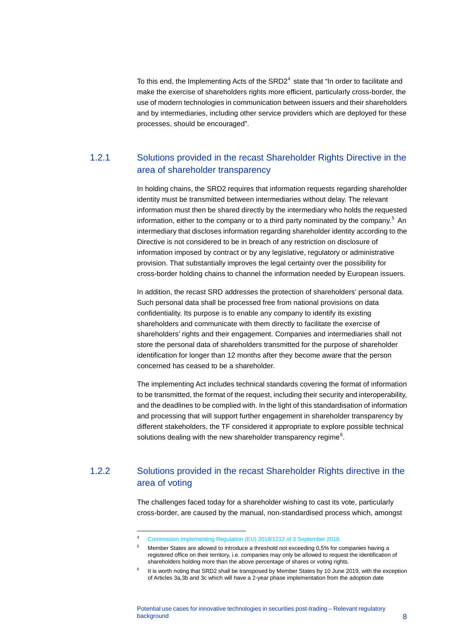To this end, the Implementing Acts of the  $SRD2<sup>4</sup>$  $SRD2<sup>4</sup>$  $SRD2<sup>4</sup>$  state that "In order to facilitate and make the exercise of shareholders rights more efficient, particularly cross-border, the use of modern technologies in communication between issuers and their shareholders and by intermediaries, including other service providers which are deployed for these processes, should be encouraged".

## 1.2.1 Solutions provided in the recast Shareholder Rights Directive in the area of shareholder transparency

In holding chains, the SRD2 requires that information requests regarding shareholder identity must be transmitted between intermediaries without delay. The relevant information must then be shared directly by the intermediary who holds the requested information, either to the company or to a third party nominated by the company.<sup>[5](#page-8-1)</sup> An intermediary that discloses information regarding shareholder identity according to the Directive is not considered to be in breach of any restriction on disclosure of information imposed by contract or by any legislative, regulatory or administrative provision. That substantially improves the legal certainty over the possibility for cross-border holding chains to channel the information needed by European issuers.

In addition, the recast SRD addresses the protection of shareholders' personal data. Such personal data shall be processed free from national provisions on data confidentiality. Its purpose is to enable any company to identify its existing shareholders and communicate with them directly to facilitate the exercise of shareholders' rights and their engagement. Companies and intermediaries shall not store the personal data of shareholders transmitted for the purpose of shareholder identification for longer than 12 months after they become aware that the person concerned has ceased to be a shareholder.

The implementing Act includes technical standards covering the format of information to be transmitted, the format of the request, including their security and interoperability, and the deadlines to be complied with. In the light of this standardisation of information and processing that will support further engagement in shareholder transparency by different stakeholders, the TF considered it appropriate to explore possible technical solutions dealing with the new shareholder transparency regime $^6$  $^6$ .

## <span id="page-8-2"></span><span id="page-8-1"></span><span id="page-8-0"></span>1.2.2 Solutions provided in the recast Shareholder Rights directive in the area of voting

The challenges faced today for a shareholder wishing to cast its vote, particularly cross-border, are caused by the manual, non-standardised process which, amongst

<sup>4</sup> [Commission Implementing Regulation \(EU\) 2018/1212 of 3 September 2018.](https://eur-lex.europa.eu/legal-content/EN/TXT/?uri=uriserv:OJ.L_.2018.223.01.0001.01.ENG&toc=OJ:L:2018:223:TOC)

<sup>5</sup> Member States are allowed to introduce a threshold not exceeding 0,5% for companies having a registered office on their territory, i.e. companies may only be allowed to request the identification of shareholders holding more than the above percentage of shares or voting rights.

It is worth noting that SRD2 shall be transposed by Member States by 10 June 2019, with the exception of Articles 3a,3b and 3c which will have a 2-year phase implementation from the adoption date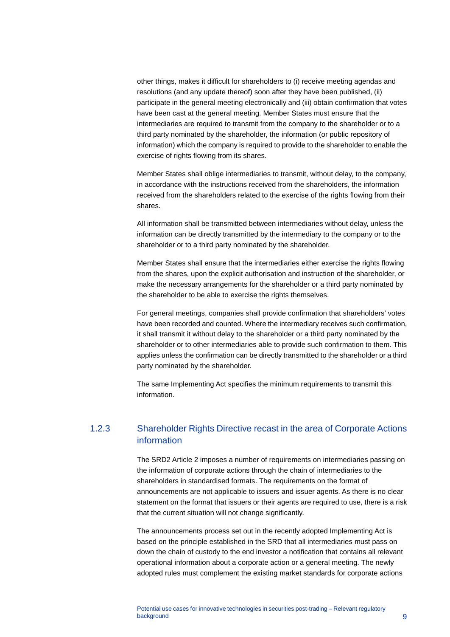other things, makes it difficult for shareholders to (i) receive meeting agendas and resolutions (and any update thereof) soon after they have been published, (ii) participate in the general meeting electronically and (iii) obtain confirmation that votes have been cast at the general meeting. Member States must ensure that the intermediaries are required to transmit from the company to the shareholder or to a third party nominated by the shareholder, the information (or public repository of information) which the company is required to provide to the shareholder to enable the exercise of rights flowing from its shares.

Member States shall oblige intermediaries to transmit, without delay, to the company, in accordance with the instructions received from the shareholders, the information received from the shareholders related to the exercise of the rights flowing from their shares.

All information shall be transmitted between intermediaries without delay, unless the information can be directly transmitted by the intermediary to the company or to the shareholder or to a third party nominated by the shareholder.

Member States shall ensure that the intermediaries either exercise the rights flowing from the shares, upon the explicit authorisation and instruction of the shareholder, or make the necessary arrangements for the shareholder or a third party nominated by the shareholder to be able to exercise the rights themselves.

For general meetings, companies shall provide confirmation that shareholders' votes have been recorded and counted. Where the intermediary receives such confirmation, it shall transmit it without delay to the shareholder or a third party nominated by the shareholder or to other intermediaries able to provide such confirmation to them. This applies unless the confirmation can be directly transmitted to the shareholder or a third party nominated by the shareholder.

The same Implementing Act specifies the minimum requirements to transmit this information.

### 1.2.3 Shareholder Rights Directive recast in the area of Corporate Actions information

The SRD2 Article 2 imposes a number of requirements on intermediaries passing on the information of corporate actions through the chain of intermediaries to the shareholders in standardised formats. The requirements on the format of announcements are not applicable to issuers and issuer agents. As there is no clear statement on the format that issuers or their agents are required to use, there is a risk that the current situation will not change significantly.

The announcements process set out in the recently adopted Implementing Act is based on the principle established in the SRD that all intermediaries must pass on down the chain of custody to the end investor a notification that contains all relevant operational information about a corporate action or a general meeting. The newly adopted rules must complement the existing market standards for corporate actions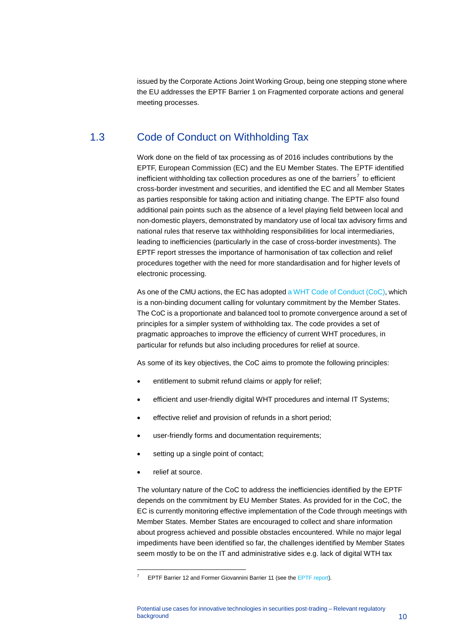<span id="page-10-0"></span>issued by the Corporate Actions Joint Working Group, being one stepping stone where the EU addresses the EPTF Barrier 1 on Fragmented corporate actions and general meeting processes.

## 1.3 Code of Conduct on Withholding Tax

Work done on the field of tax processing as of 2016 includes contributions by the EPTF, European Commission (EC) and the EU Member States. The EPTF identified inefficient withholding tax collection procedures as one of the barriers<sup>[7](#page-10-1)</sup> to efficient cross-border investment and securities, and identified the EC and all Member States as parties responsible for taking action and initiating change. The EPTF also found additional pain points such as the absence of a level playing field between local and non-domestic players, demonstrated by mandatory use of local tax advisory firms and national rules that reserve tax withholding responsibilities for local intermediaries, leading to inefficiencies (particularly in the case of cross-border investments). The EPTF report stresses the importance of harmonisation of tax collection and relief procedures together with the need for more standardisation and for higher levels of electronic processing.

As one of the CMU actions, the EC has adopted [a WHT Code of Conduct \(CoC\),](https://ec.europa.eu/taxation_customs/sites/taxation/files/code_of_conduct_on_witholding_tax.pdf) which is a non-binding document calling for voluntary commitment by the Member States. The CoC is a proportionate and balanced tool to promote convergence around a set of principles for a simpler system of withholding tax. The code provides a set of pragmatic approaches to improve the efficiency of current WHT procedures, in particular for refunds but also including procedures for relief at source.

As some of its key objectives, the CoC aims to promote the following principles:

- entitlement to submit refund claims or apply for relief;
- efficient and user-friendly digital WHT procedures and internal IT Systems;
- effective relief and provision of refunds in a short period;
- user-friendly forms and documentation requirements;
- setting up a single point of contact;
- relief at source.

-

The voluntary nature of the CoC to address the inefficiencies identified by the EPTF depends on the commitment by EU Member States. As provided for in the CoC, the EC is currently monitoring effective implementation of the Code through meetings with Member States. Member States are encouraged to collect and share information about progress achieved and possible obstacles encountered. While no major legal impediments have been identified so far, the challenges identified by Member States seem mostly to be on the IT and administrative sides e.g. lack of digital WTH tax

<span id="page-10-1"></span>EPTF Barrier 12 and Former Giovannini Barrier 11 (see the [EPTF report\)](https://ec.europa.eu/info/sites/info/files/170515-eptf-report_en.pdf).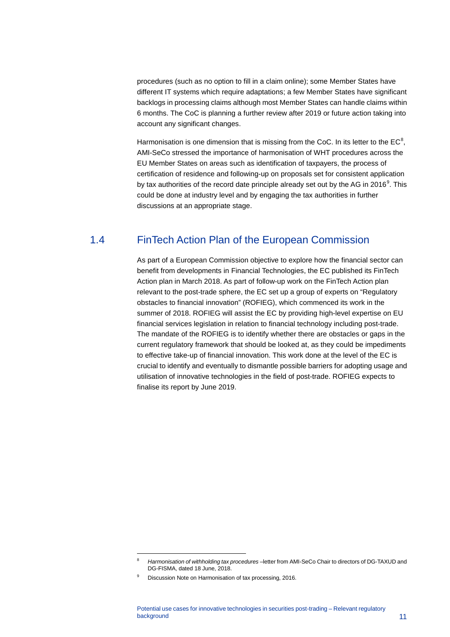procedures (such as no option to fill in a claim online); some Member States have different IT systems which require adaptations; a few Member States have significant backlogs in processing claims although most Member States can handle claims within 6 months. The CoC is planning a further review after 2019 or future action taking into account any significant changes.

Harmonisation is one dimension that is missing from the CoC. In its letter to the  $EC^8$  $EC^8$ , AMI-SeCo stressed the importance of harmonisation of WHT procedures across the EU Member States on areas such as identification of taxpayers, the process of certification of residence and following-up on proposals set for consistent application by tax authorities of the record date principle already set out by the AG in 2016 $^{\circ}$ . This could be done at industry level and by engaging the tax authorities in further discussions at an appropriate stage.

## 1.4 FinTech Action Plan of the European Commission

<span id="page-11-0"></span>As part of a European Commission objective to explore how the financial sector can benefit from developments in Financial Technologies, the EC published its FinTech Action plan in March 2018. As part of follow-up work on the FinTech Action plan relevant to the post-trade sphere, the EC set up a group of experts on "Regulatory obstacles to financial innovation" (ROFIEG), which commenced its work in the summer of 2018. ROFIEG will assist the EC by providing high-level expertise on EU financial services legislation in relation to financial technology including post-trade. The mandate of the ROFIEG is to identify whether there are obstacles or gaps in the current regulatory framework that should be looked at, as they could be impediments to effective take-up of financial innovation. This work done at the level of the EC is crucial to identify and eventually to dismantle possible barriers for adopting usage and utilisation of innovative technologies in the field of post-trade. ROFIEG expects to finalise its report by June 2019.

<span id="page-11-1"></span><sup>8</sup> *Harmonisation of withholding tax procedures* – letter from AMI-SeCo Chair to directors of DG-TAXUD and DG-FISMA, dated 18 June, 2018.

<span id="page-11-2"></span>Discussion Note on Harmonisation of tax processing, 2016.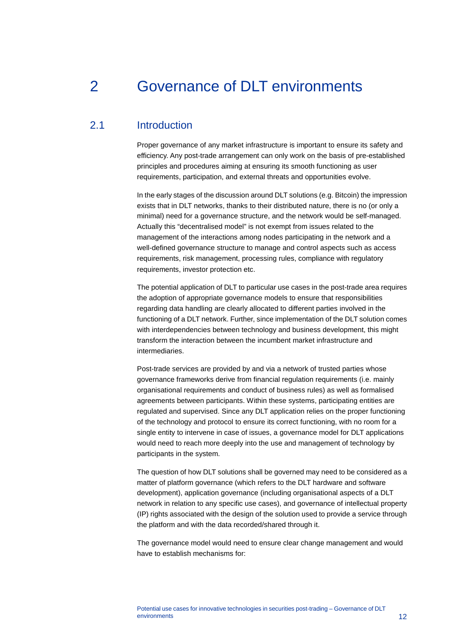## <span id="page-12-0"></span>2 Governance of DLT environments

### 2.1 Introduction

<span id="page-12-1"></span>Proper governance of any market infrastructure is important to ensure its safety and efficiency. Any post-trade arrangement can only work on the basis of pre-established principles and procedures aiming at ensuring its smooth functioning as user requirements, participation, and external threats and opportunities evolve.

In the early stages of the discussion around DLT solutions (e.g. Bitcoin) the impression exists that in DLT networks, thanks to their distributed nature, there is no (or only a minimal) need for a governance structure, and the network would be self-managed. Actually this "decentralised model" is not exempt from issues related to the management of the interactions among nodes participating in the network and a well-defined governance structure to manage and control aspects such as access requirements, risk management, processing rules, compliance with regulatory requirements, investor protection etc.

The potential application of DLT to particular use cases in the post-trade area requires the adoption of appropriate governance models to ensure that responsibilities regarding data handling are clearly allocated to different parties involved in the functioning of a DLT network. Further, since implementation of the DLT solution comes with interdependencies between technology and business development, this might transform the interaction between the incumbent market infrastructure and intermediaries.

Post-trade services are provided by and via a network of trusted parties whose governance frameworks derive from financial regulation requirements (i.e. mainly organisational requirements and conduct of business rules) as well as formalised agreements between participants. Within these systems, participating entities are regulated and supervised. Since any DLT application relies on the proper functioning of the technology and protocol to ensure its correct functioning, with no room for a single entity to intervene in case of issues, a governance model for DLT applications would need to reach more deeply into the use and management of technology by participants in the system.

The question of how DLT solutions shall be governed may need to be considered as a matter of platform governance (which refers to the DLT hardware and software development), application governance (including organisational aspects of a DLT network in relation to any specific use cases), and governance of intellectual property (IP) rights associated with the design of the solution used to provide a service through the platform and with the data recorded/shared through it.

The governance model would need to ensure clear change management and would have to establish mechanisms for: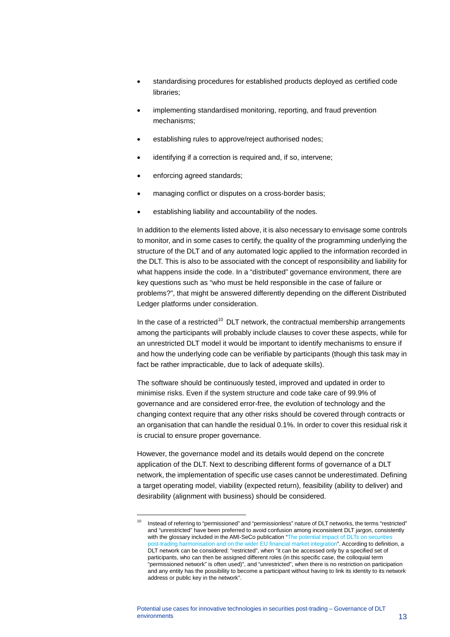- standardising procedures for established products deployed as certified code libraries;
- implementing standardised monitoring, reporting, and fraud prevention mechanisms;
- establishing rules to approve/reject authorised nodes;
- identifying if a correction is required and, if so, intervene;
- enforcing agreed standards;

-

- managing conflict or disputes on a cross-border basis;
- establishing liability and accountability of the nodes.

In addition to the elements listed above, it is also necessary to envisage some controls to monitor, and in some cases to certify, the quality of the programming underlying the structure of the DLT and of any automated logic applied to the information recorded in the DLT. This is also to be associated with the concept of responsibility and liability for what happens inside the code. In a "distributed" governance environment, there are key questions such as "who must be held responsible in the case of failure or problems?", that might be answered differently depending on the different Distributed Ledger platforms under consideration.

In the case of a restricted<sup>[10](#page-13-0)</sup> DLT network, the contractual membership arrangements among the participants will probably include clauses to cover these aspects, while for an unrestricted DLT model it would be important to identify mechanisms to ensure if and how the underlying code can be verifiable by participants (though this task may in fact be rather impracticable, due to lack of adequate skills).

The software should be continuously tested, improved and updated in order to minimise risks. Even if the system structure and code take care of 99.9% of governance and are considered error-free, the evolution of technology and the changing context require that any other risks should be covered through contracts or an organisation that can handle the residual 0.1%. In order to cover this residual risk it is crucial to ensure proper governance.

However, the governance model and its details would depend on the concrete application of the DLT. Next to describing different forms of governance of a DLT network, the implementation of specific use cases cannot be underestimated. Defining a target operating model, viability (expected return), feasibility (ability to deliver) and desirability (alignment with business) should be considered.

<span id="page-13-0"></span>Instead of referring to "permissioned" and "permissionless" nature of DLT networks, the terms "restricted" and "unrestricted" have been preferred to avoid confusion among inconsistent DLT jargon, consistently with the glossary included in the AMI-SeCo publication "The potential impact of DLTs on securities [post-trading harmonisation and on the wider EU financial market integration"](https://www.ecb.europa.eu/paym/intro/governance/shared/pdf/201709_dlt_impact_on_harmonisation_and_integration.pdf). According to definition, a DLT network can be considered: "restricted", when "it can be accessed only by a specified set of participants, who can then be assigned different roles (in this specific case, the colloquial term "permissioned network" is often used)", and "unrestricted", when there is no restriction on participation and any entity has the possibility to become a participant without having to link its identity to its network address or public key in the network".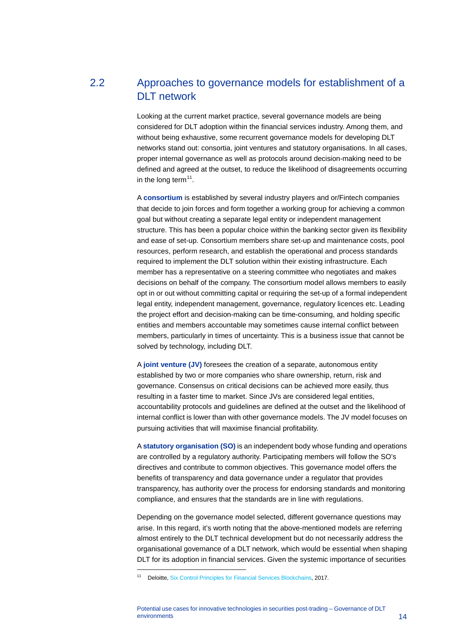## 2.2 Approaches to governance models for establishment of a DLT network

<span id="page-14-0"></span>Looking at the current market practice, several governance models are being considered for DLT adoption within the financial services industry. Among them, and without being exhaustive, some recurrent governance models for developing DLT networks stand out: consortia, joint ventures and statutory organisations. In all cases, proper internal governance as well as protocols around decision-making need to be defined and agreed at the outset, to reduce the likelihood of disagreements occurring in the long term $11$ .

A **consortium** is established by several industry players and or/Fintech companies that decide to join forces and form together a working group for achieving a common goal but without creating a separate legal entity or independent management structure. This has been a popular choice within the banking sector given its flexibility and ease of set-up. Consortium members share set-up and maintenance costs, pool resources, perform research, and establish the operational and process standards required to implement the DLT solution within their existing infrastructure. Each member has a representative on a steering committee who negotiates and makes decisions on behalf of the company. The consortium model allows members to easily opt in or out without committing capital or requiring the set-up of a formal independent legal entity, independent management, governance, regulatory licences etc. Leading the project effort and decision-making can be time-consuming, and holding specific entities and members accountable may sometimes cause internal conflict between members, particularly in times of uncertainty. This is a business issue that cannot be solved by technology, including DLT.

A **joint venture (JV)** foresees the creation of a separate, autonomous entity established by two or more companies who share ownership, return, risk and governance. Consensus on critical decisions can be achieved more easily, thus resulting in a faster time to market. Since JVs are considered legal entities, accountability protocols and guidelines are defined at the outset and the likelihood of internal conflict is lower than with other governance models. The JV model focuses on pursuing activities that will maximise financial profitability.

A **statutory organisation (SO)** is an independent body whose funding and operations are controlled by a regulatory authority. Participating members will follow the SO's directives and contribute to common objectives. This governance model offers the benefits of transparency and data governance under a regulator that provides transparency, has authority over the process for endorsing standards and monitoring compliance, and ensures that the standards are in line with regulations.

Depending on the governance model selected, different governance questions may arise. In this regard, it's worth noting that the above-mentioned models are referring almost entirely to the DLT technical development but do not necessarily address the organisational governance of a DLT network, which would be essential when shaping DLT for its adoption in financial services. Given the systemic importance of securities

<span id="page-14-1"></span><sup>&</sup>lt;sup>11</sup> Deloitte[, Six Control Principles for Financial Services Blockchains,](https://www2.deloitte.com/content/dam/Deloitte/de/Documents/financial-services/Blockchain-Control-Principles-in-Financial-Services.pdf) 2017.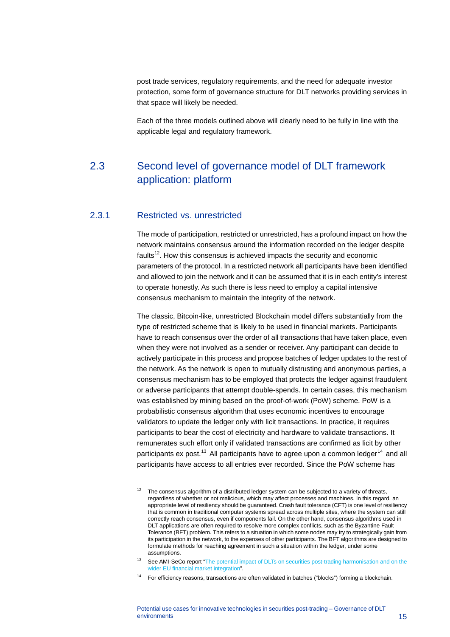post trade services, regulatory requirements, and the need for adequate investor protection, some form of governance structure for DLT networks providing services in that space will likely be needed.

<span id="page-15-0"></span>Each of the three models outlined above will clearly need to be fully in line with the applicable legal and regulatory framework.

## 2.3 Second level of governance model of DLT framework application: platform

#### 2.3.1 Restricted vs. unrestricted

-

The mode of participation, restricted or unrestricted, has a profound impact on how the network maintains consensus around the information recorded on the ledger despite faults $12$ . How this consensus is achieved impacts the security and economic parameters of the protocol. In a restricted network all participants have been identified and allowed to join the network and it can be assumed that it is in each entity's interest to operate honestly. As such there is less need to employ a capital intensive consensus mechanism to maintain the integrity of the network.

The classic, Bitcoin-like, unrestricted Blockchain model differs substantially from the type of restricted scheme that is likely to be used in financial markets. Participants have to reach consensus over the order of all transactions that have taken place, even when they were not involved as a sender or receiver. Any participant can decide to actively participate in this process and propose batches of ledger updates to the rest of the network. As the network is open to mutually distrusting and anonymous parties, a consensus mechanism has to be employed that protects the ledger against fraudulent or adverse participants that attempt double-spends. In certain cases, this mechanism was established by mining based on the proof-of-work (PoW) scheme. PoW is a probabilistic consensus algorithm that uses economic incentives to encourage validators to update the ledger only with licit transactions. In practice, it requires participants to bear the cost of electricity and hardware to validate transactions. It remunerates such effort only if validated transactions are confirmed as licit by other participants ex post.<sup>[13](#page-15-2)</sup> All participants have to agree upon a common ledger<sup>[14](#page-15-3)</sup> and all participants have access to all entries ever recorded. Since the PoW scheme has

<span id="page-15-1"></span>The consensus algorithm of a distributed ledger system can be subjected to a variety of threats, regardless of whether or not malicious, which may affect processes and machines. In this regard, an appropriate level of resiliency should be guaranteed. Crash fault tolerance (CFT) is one level of resiliency that is common in traditional computer systems spread across multiple sites, where the system can still correctly reach consensus, even if components fail. On the other hand, consensus algorithms used in DLT applications are often required to resolve more complex conflicts, such as the Byzantine Fault Tolerance (BFT) problem. This refers to a situation in which some nodes may try to strategically gain from its participation in the network, to the expenses of other participants. The BFT algorithms are designed to formulate methods for reaching agreement in such a situation within the ledger, under some assumptions.

<span id="page-15-2"></span><sup>&</sup>lt;sup>13</sup> See AMI-SeCo report "The potential impact of DLTs on securities post-trading harmonisation and on the [wider EU financial market integration"](https://www.ecb.europa.eu/paym/intro/governance/shared/pdf/201709_dlt_impact_on_harmonisation_and_integration.pdf).

<span id="page-15-3"></span><sup>14</sup> For efficiency reasons, transactions are often validated in batches ("blocks") forming a blockchain.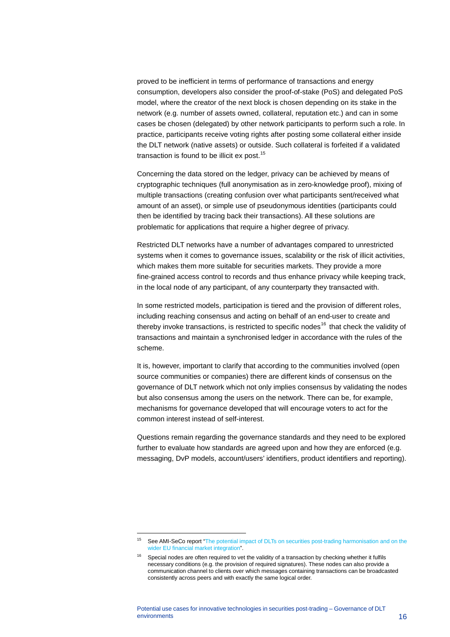proved to be inefficient in terms of performance of transactions and energy consumption, developers also consider the proof-of-stake (PoS) and delegated PoS model, where the creator of the next block is chosen depending on its stake in the network (e.g. number of assets owned, collateral, reputation etc.) and can in some cases be chosen (delegated) by other network participants to perform such a role. In practice, participants receive voting rights after posting some collateral either inside the DLT network (native assets) or outside. Such collateral is forfeited if a validated transaction is found to be illicit ex post.<sup>[15](#page-16-0)</sup>

Concerning the data stored on the ledger, privacy can be achieved by means of cryptographic techniques (full anonymisation as in zero-knowledge proof), mixing of multiple transactions (creating confusion over what participants sent/received what amount of an asset), or simple use of pseudonymous identities (participants could then be identified by tracing back their transactions). All these solutions are problematic for applications that require a higher degree of privacy.

Restricted DLT networks have a number of advantages compared to unrestricted systems when it comes to governance issues, scalability or the risk of illicit activities, which makes them more suitable for securities markets. They provide a more fine-grained access control to records and thus enhance privacy while keeping track, in the local node of any participant, of any counterparty they transacted with.

In some restricted models, participation is tiered and the provision of different roles, including reaching consensus and acting on behalf of an end-user to create and thereby invoke transactions, is restricted to specific nodes<sup>[16](#page-16-1)</sup> that check the validity of transactions and maintain a synchronised ledger in accordance with the rules of the scheme.

It is, however, important to clarify that according to the communities involved (open source communities or companies) there are different kinds of consensus on the governance of DLT network which not only implies consensus by validating the nodes but also consensus among the users on the network. There can be, for example, mechanisms for governance developed that will encourage voters to act for the common interest instead of self-interest.

Questions remain regarding the governance standards and they need to be explored further to evaluate how standards are agreed upon and how they are enforced (e.g. messaging, DvP models, account/users' identifiers, product identifiers and reporting).

<span id="page-16-0"></span><sup>&</sup>lt;sup>15</sup> See AMI-SeCo report "The potential impact of DLTs on securities post-trading harmonisation and on the [wider EU financial market integration"](https://www.ecb.europa.eu/paym/intro/governance/shared/pdf/201709_dlt_impact_on_harmonisation_and_integration.pdf).

<span id="page-16-1"></span>Special nodes are often required to vet the validity of a transaction by checking whether it fulfils necessary conditions (e.g. the provision of required signatures). These nodes can also provide a communication channel to clients over which messages containing transactions can be broadcasted consistently across peers and with exactly the same logical order.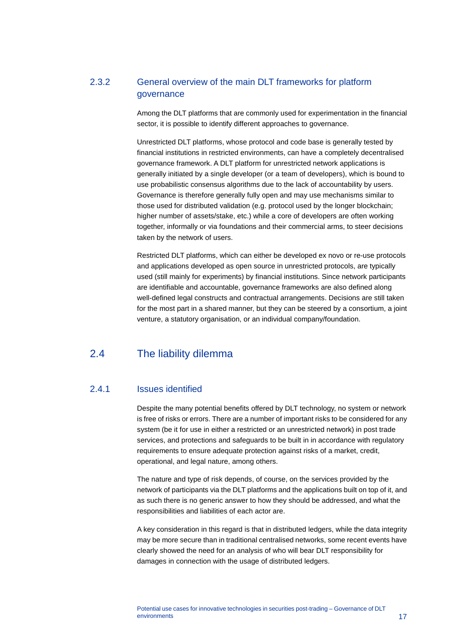### 2.3.2 General overview of the main DLT frameworks for platform governance

Among the DLT platforms that are commonly used for experimentation in the financial sector, it is possible to identify different approaches to governance.

Unrestricted DLT platforms, whose protocol and code base is generally tested by financial institutions in restricted environments, can have a completely decentralised governance framework. A DLT platform for unrestricted network applications is generally initiated by a single developer (or a team of developers), which is bound to use probabilistic consensus algorithms due to the lack of accountability by users. Governance is therefore generally fully open and may use mechanisms similar to those used for distributed validation (e.g. protocol used by the longer blockchain; higher number of assets/stake, etc.) while a core of developers are often working together, informally or via foundations and their commercial arms, to steer decisions taken by the network of users.

Restricted DLT platforms, which can either be developed ex novo or re-use protocols and applications developed as open source in unrestricted protocols, are typically used (still mainly for experiments) by financial institutions. Since network participants are identifiable and accountable, governance frameworks are also defined along well-defined legal constructs and contractual arrangements. Decisions are still taken for the most part in a shared manner, but they can be steered by a consortium, a joint venture, a statutory organisation, or an individual company/foundation.

## <span id="page-17-0"></span>2.4 The liability dilemma

#### 2.4.1 Issues identified

Despite the many potential benefits offered by DLT technology, no system or network is free of risks or errors. There are a number of important risks to be considered for any system (be it for use in either a restricted or an unrestricted network) in post trade services, and protections and safeguards to be built in in accordance with regulatory requirements to ensure adequate protection against risks of a market, credit, operational, and legal nature, among others.

The nature and type of risk depends, of course, on the services provided by the network of participants via the DLT platforms and the applications built on top of it, and as such there is no generic answer to how they should be addressed, and what the responsibilities and liabilities of each actor are.

A key consideration in this regard is that in distributed ledgers, while the data integrity may be more secure than in traditional centralised networks, some recent events have clearly showed the need for an analysis of who will bear DLT responsibility for damages in connection with the usage of distributed ledgers.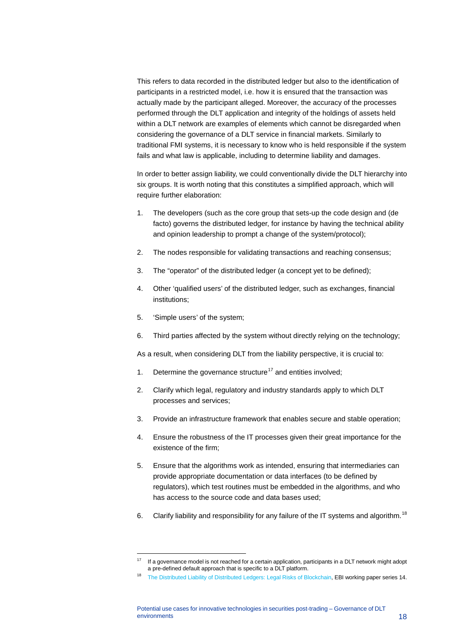This refers to data recorded in the distributed ledger but also to the identification of participants in a restricted model, i.e. how it is ensured that the transaction was actually made by the participant alleged. Moreover, the accuracy of the processes performed through the DLT application and integrity of the holdings of assets held within a DLT network are examples of elements which cannot be disregarded when considering the governance of a DLT service in financial markets. Similarly to traditional FMI systems, it is necessary to know who is held responsible if the system fails and what law is applicable, including to determine liability and damages.

In order to better assign liability, we could conventionally divide the DLT hierarchy into six groups. It is worth noting that this constitutes a simplified approach, which will require further elaboration:

- 1. The developers (such as the core group that sets-up the code design and (de facto) governs the distributed ledger, for instance by having the technical ability and opinion leadership to prompt a change of the system/protocol);
- 2. The nodes responsible for validating transactions and reaching consensus;
- 3. The "operator" of the distributed ledger (a concept yet to be defined);
- 4. Other 'qualified users' of the distributed ledger, such as exchanges, financial institutions;
- 5. 'Simple users' of the system;

-

6. Third parties affected by the system without directly relying on the technology;

As a result, when considering DLT from the liability perspective, it is crucial to:

- 1. Determine the governance structure<sup>[17](#page-18-0)</sup> and entities involved;
- 2. Clarify which legal, regulatory and industry standards apply to which DLT processes and services;
- 3. Provide an infrastructure framework that enables secure and stable operation;
- 4. Ensure the robustness of the IT processes given their great importance for the existence of the firm;
- 5. Ensure that the algorithms work as intended, ensuring that intermediaries can provide appropriate documentation or data interfaces (to be defined by regulators), which test routines must be embedded in the algorithms, and who has access to the source code and data bases used;
- 6. Clarify liability and responsibility for any failure of the IT systems and algorithm.<sup>[18](#page-18-1)</sup>

<span id="page-18-0"></span> $17$  If a governance model is not reached for a certain application, participants in a DLT network might adopt a pre-defined default approach that is specific to a DLT platform.

<span id="page-18-1"></span>[The Distributed Liability of Distributed Ledgers: Legal Risks of Blockchain,](https://papers.ssrn.com/sol3/papers.cfm?abstract_id=3018214) EBI working paper series 14.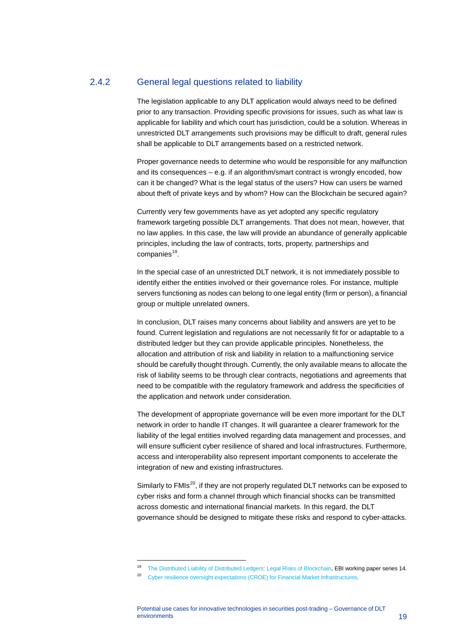#### 2.4.2 General legal questions related to liability

The legislation applicable to any DLT application would always need to be defined prior to any transaction. Providing specific provisions for issues, such as what law is applicable for liability and which court has jurisdiction, could be a solution. Whereas in unrestricted DLT arrangements such provisions may be difficult to draft, general rules shall be applicable to DLT arrangements based on a restricted network.

Proper governance needs to determine who would be responsible for any malfunction and its consequences – e.g. if an algorithm/smart contract is wrongly encoded, how can it be changed? What is the legal status of the users? How can users be warned about theft of private keys and by whom? How can the Blockchain be secured again?

Currently very few governments have as yet adopted any specific regulatory framework targeting possible DLT arrangements. That does not mean, however, that no law applies. In this case, the law will provide an abundance of generally applicable principles, including the law of contracts, torts, property, partnerships and companies<sup>19</sup>.

In the special case of an unrestricted DLT network, it is not immediately possible to identify either the entities involved or their governance roles. For instance, multiple servers functioning as nodes can belong to one legal entity (firm or person), a financial group or multiple unrelated owners.

In conclusion, DLT raises many concerns about liability and answers are yet to be found. Current legislation and regulations are not necessarily fit for or adaptable to a distributed ledger but they can provide applicable principles. Nonetheless, the allocation and attribution of risk and liability in relation to a malfunctioning service should be carefully thought through. Currently, the only available means to allocate the risk of liability seems to be through clear contracts, negotiations and agreements that need to be compatible with the regulatory framework and address the specificities of the application and network under consideration.

The development of appropriate governance will be even more important for the DLT network in order to handle IT changes. It will guarantee a clearer framework for the liability of the legal entities involved regarding data management and processes, and will ensure sufficient cyber resilience of shared and local infrastructures. Furthermore, access and interoperability also represent important components to accelerate the integration of new and existing infrastructures.

Similarly to FMIs<sup>[20](#page-19-1)</sup>, if they are not properly regulated DLT networks can be exposed to cyber risks and form a channel through which financial shocks can be transmitted across domestic and international financial markets. In this regard, the DLT governance should be designed to mitigate these risks and respond to cyber-attacks.

<sup>&</sup>lt;sup>19</sup> [The Distributed Liability of Distributed Ledgers: Legal Risks of Blockchain,](https://papers.ssrn.com/sol3/papers.cfm?abstract_id=3018214) EBI working paper series 14.

<span id="page-19-1"></span><span id="page-19-0"></span><sup>&</sup>lt;sup>20</sup> [Cyber resilience oversight expectations \(CROE\) for Financial Market Infrastructures.](http://www.ecb.europa.eu/paym/pdf/cons/cyberresilience/cyber_resilience_oversight_expectations_for_FMIs.pdf)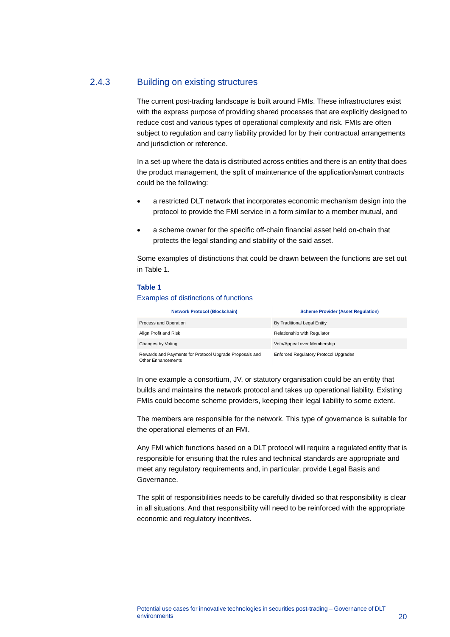#### 2.4.3 Building on existing structures

The current post-trading landscape is built around FMIs. These infrastructures exist with the express purpose of providing shared processes that are explicitly designed to reduce cost and various types of operational complexity and risk. FMIs are often subject to regulation and carry liability provided for by their contractual arrangements and jurisdiction or reference.

In a set-up where the data is distributed across entities and there is an entity that does the product management, the split of maintenance of the application/smart contracts could be the following:

- a restricted DLT network that incorporates economic mechanism design into the protocol to provide the FMI service in a form similar to a member mutual, and
- a scheme owner for the specific off-chain financial asset held on-chain that protects the legal standing and stability of the said asset.

Some examples of distinctions that could be drawn between the functions are set out in Table 1.

#### **Table 1**

#### Examples of distinctions of functions

| <b>Network Protocol (Blockchain)</b>                                          | <b>Scheme Provider (Asset Regulation)</b>    |
|-------------------------------------------------------------------------------|----------------------------------------------|
| Process and Operation                                                         | By Traditional Legal Entity                  |
| Align Profit and Risk                                                         | Relationship with Regulator                  |
| Changes by Voting                                                             | Veto/Appeal over Membership                  |
| Rewards and Payments for Protocol Upgrade Proposals and<br>Other Enhancements | <b>Enforced Regulatory Protocol Upgrades</b> |

In one example a consortium, JV, or statutory organisation could be an entity that builds and maintains the network protocol and takes up operational liability. Existing FMIs could become scheme providers, keeping their legal liability to some extent.

The members are responsible for the network. This type of governance is suitable for the operational elements of an FMI.

Any FMI which functions based on a DLT protocol will require a regulated entity that is responsible for ensuring that the rules and technical standards are appropriate and meet any regulatory requirements and, in particular, provide Legal Basis and Governance.

The split of responsibilities needs to be carefully divided so that responsibility is clear in all situations. And that responsibility will need to be reinforced with the appropriate economic and regulatory incentives.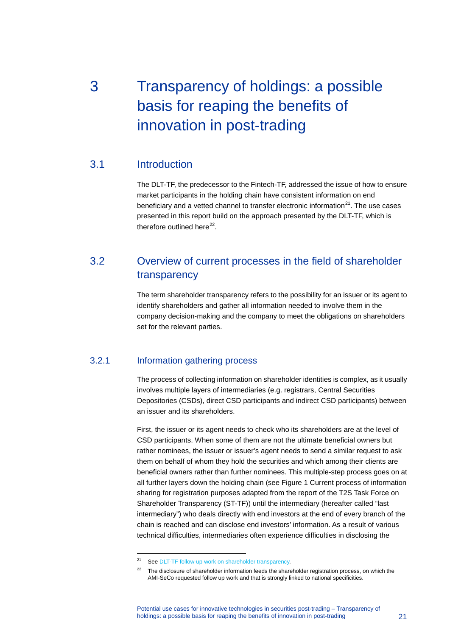# <span id="page-21-0"></span>3 Transparency of holdings: a possible basis for reaping the benefits of innovation in post-trading

### 3.1 Introduction

<span id="page-21-1"></span>The DLT-TF, the predecessor to the Fintech-TF, addressed the issue of how to ensure market participants in the holding chain have consistent information on end beneficiary and a vetted channel to transfer electronic information $^{21}$ . The use cases presented in this report build on the approach presented by the DLT-TF, which is therefore outlined here $^{22}$  $^{22}$  $^{22}$ .

## <span id="page-21-2"></span>3.2 Overview of current processes in the field of shareholder transparency

The term shareholder transparency refers to the possibility for an issuer or its agent to identify shareholders and gather all information needed to involve them in the company decision-making and the company to meet the obligations on shareholders set for the relevant parties.

### 3.2.1 Information gathering process

-

The process of collecting information on shareholder identities is complex, as it usually involves multiple layers of intermediaries (e.g. registrars, Central Securities Depositories (CSDs), direct CSD participants and indirect CSD participants) between an issuer and its shareholders.

First, the issuer or its agent needs to check who its shareholders are at the level of CSD participants. When some of them are not the ultimate beneficial owners but rather nominees, the issuer or issuer's agent needs to send a similar request to ask them on behalf of whom they hold the securities and which among their clients are beneficial owners rather than further nominees. This multiple-step process goes on at all further layers down the holding chain (see Figure 1 Current process of information sharing for registration purposes adapted from the report of the T2S Task Force on Shareholder Transparency (ST-TF)) until the intermediary (hereafter called "last intermediary") who deals directly with end investors at the end of every branch of the chain is reached and can disclose end investors' information. As a result of various technical difficulties, intermediaries often experience difficulties in disclosing the

<span id="page-21-3"></span><sup>&</sup>lt;sup>21</sup> Se[e DLT-TF follow-up work on shareholder transparency.](https://www.ecb.europa.eu/paym/initiatives/shared/docs/b235f-ami-seco-2017-12-07-item-1.6_1-dlt-tf-follow-up-work-on-shareholder-transparency.pdf)

<span id="page-21-4"></span><sup>&</sup>lt;sup>22</sup> The disclosure of shareholder information feeds the shareholder registration process, on which the AMI-SeCo requested follow up work and that is strongly linked to national specificities.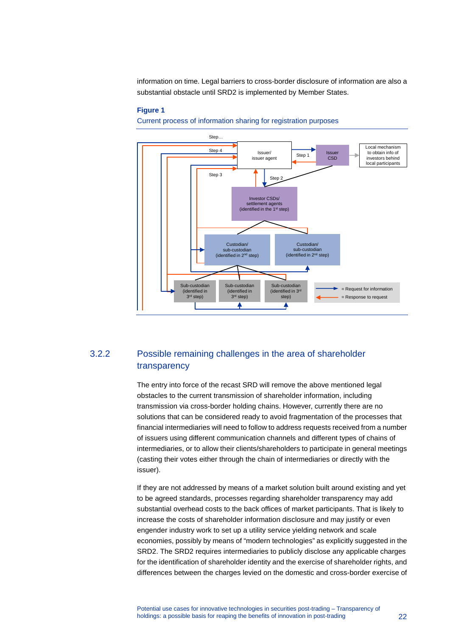information on time. Legal barriers to cross-border disclosure of information are also a substantial obstacle until SRD2 is implemented by Member States.

#### **Figure 1**

Current process of information sharing for registration purposes



## 3.2.2 Possible remaining challenges in the area of shareholder transparency

The entry into force of the recast SRD will remove the above mentioned legal obstacles to the current transmission of shareholder information, including transmission via cross-border holding chains. However, currently there are no solutions that can be considered ready to avoid fragmentation of the processes that financial intermediaries will need to follow to address requests received from a number of issuers using different communication channels and different types of chains of intermediaries, or to allow their clients/shareholders to participate in general meetings (casting their votes either through the chain of intermediaries or directly with the issuer).

If they are not addressed by means of a market solution built around existing and yet to be agreed standards, processes regarding shareholder transparency may add substantial overhead costs to the back offices of market participants. That is likely to increase the costs of shareholder information disclosure and may justify or even engender industry work to set up a utility service yielding network and scale economies, possibly by means of "modern technologies" as explicitly suggested in the SRD2. The SRD2 requires intermediaries to publicly disclose any applicable charges for the identification of shareholder identity and the exercise of shareholder rights, and differences between the charges levied on the domestic and cross-border exercise of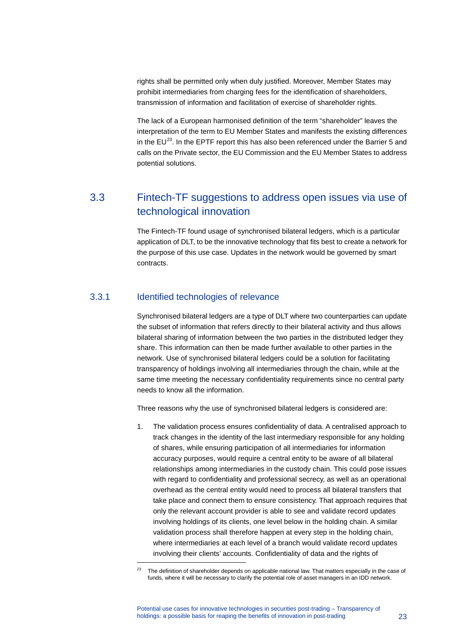rights shall be permitted only when duly justified. Moreover, Member States may prohibit intermediaries from charging fees for the identification of shareholders, transmission of information and facilitation of exercise of shareholder rights.

The lack of a European harmonised definition of the term "shareholder" leaves the interpretation of the term to EU Member States and manifests the existing differences in the  $EU^{23}$ . In the EPTF report this has also been referenced under the Barrier 5 and calls on the Private sector, the EU Commission and the EU Member States to address potential solutions.

## <span id="page-23-0"></span>3.3 Fintech-TF suggestions to address open issues via use of technological innovation

The Fintech-TF found usage of synchronised bilateral ledgers, which is a particular application of DLT, to be the innovative technology that fits best to create a network for the purpose of this use case. Updates in the network would be governed by smart contracts.

#### 3.3.1 Identified technologies of relevance

<span id="page-23-1"></span>-

Synchronised bilateral ledgers are a type of DLT where two counterparties can update the subset of information that refers directly to their bilateral activity and thus allows bilateral sharing of information between the two parties in the distributed ledger they share. This information can then be made further available to other parties in the network. Use of synchronised bilateral ledgers could be a solution for facilitating transparency of holdings involving all intermediaries through the chain, while at the same time meeting the necessary confidentiality requirements since no central party needs to know all the information.

Three reasons why the use of synchronised bilateral ledgers is considered are:

1. The validation process ensures confidentiality of data. A centralised approach to track changes in the identity of the last intermediary responsible for any holding of shares, while ensuring participation of all intermediaries for information accuracy purposes, would require a central entity to be aware of all bilateral relationships among intermediaries in the custody chain. This could pose issues with regard to confidentiality and professional secrecy, as well as an operational overhead as the central entity would need to process all bilateral transfers that take place and connect them to ensure consistency. That approach requires that only the relevant account provider is able to see and validate record updates involving holdings of its clients, one level below in the holding chain. A similar validation process shall therefore happen at every step in the holding chain, where intermediaries at each level of a branch would validate record updates involving their clients' accounts. Confidentiality of data and the rights of

The definition of shareholder depends on applicable national law. That matters especially in the case of funds, where it will be necessary to clarify the potential role of asset managers in an IDD network.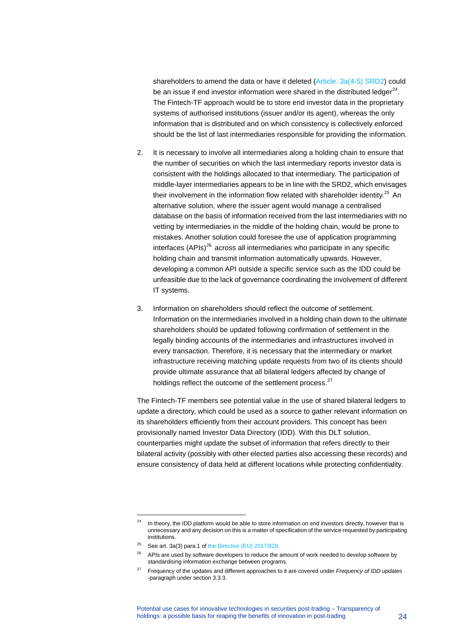shareholders to amend the data or have it deleted [\(Article. 3a\(4-5\) SRD2\)](https://eur-lex.europa.eu/legal-content/en/ALL/?uri=CELEX%3A32017L0828) could be an issue if end investor information were shared in the distributed ledger<sup>[24](#page-24-0)</sup>. The Fintech-TF approach would be to store end investor data in the proprietary systems of authorised institutions (issuer and/or its agent), whereas the only information that is distributed and on which consistency is collectively enforced should be the list of last intermediaries responsible for providing the information.

- 2. It is necessary to involve all intermediaries along a holding chain to ensure that the number of securities on which the last intermediary reports investor data is consistent with the holdings allocated to that intermediary. The participation of middle-layer intermediaries appears to be in line with the SRD2, which envisages their involvement in the information flow related with shareholder identity.<sup>[25](#page-24-1)</sup> An alternative solution, where the issuer agent would manage a centralised database on the basis of information received from the last intermediaries with no vetting by intermediaries in the middle of the holding chain, would be prone to mistakes. Another solution could foresee the use of application programming interfaces  $(APIs)^{26}$  $(APIs)^{26}$  $(APIs)^{26}$  across all intermediaries who participate in any specific holding chain and transmit information automatically upwards. However, developing a common API outside a specific service such as the IDD could be unfeasible due to the lack of governance coordinating the involvement of different IT systems.
- 3. Information on shareholders should reflect the outcome of settlement. Information on the intermediaries involved in a holding chain down to the ultimate shareholders should be updated following confirmation of settlement in the legally binding accounts of the intermediaries and infrastructures involved in every transaction. Therefore, it is necessary that the intermediary or market infrastructure receiving matching update requests from two of its clients should provide ultimate assurance that all bilateral ledgers affected by change of holdings reflect the outcome of the settlement process.<sup>[27](#page-24-3)</sup>

The Fintech-TF members see potential value in the use of shared bilateral ledgers to update a directory, which could be used as a source to gather relevant information on its shareholders efficiently from their account providers. This concept has been provisionally named Investor Data Directory (IDD). With this DLT solution, counterparties might update the subset of information that refers directly to their bilateral activity (possibly with other elected parties also accessing these records) and ensure consistency of data held at different locations while protecting confidentiality.

<span id="page-24-0"></span><sup>&</sup>lt;sup>24</sup> In theory, the IDD platform would be able to store information on end investors directly, however that is unnecessary and any decision on this is a matter of specification of the service requested by participating institutions.

<span id="page-24-1"></span> $25$  See art. 3a(3) para.1 o[f the Directive \(EU\) 2017/828.](https://eur-lex.europa.eu/legal-content/en/ALL/?uri=CELEX%3A32017L0828)

<span id="page-24-2"></span><sup>&</sup>lt;sup>26</sup> APIs are used by software developers to reduce the amount of work needed to develop software by standardising information exchange between programs.

<span id="page-24-3"></span><sup>27</sup> Frequency of the updates and different approaches to it are covered under *Frequency of IDD updates* -paragraph under section 3.3.3.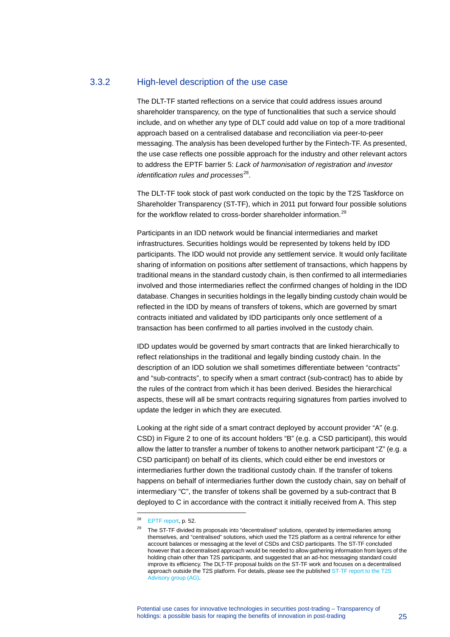#### 3.3.2 High-level description of the use case

The DLT-TF started reflections on a service that could address issues around shareholder transparency, on the type of functionalities that such a service should include, and on whether any type of DLT could add value on top of a more traditional approach based on a centralised database and reconciliation via peer-to-peer messaging. The analysis has been developed further by the Fintech-TF. As presented, the use case reflects one possible approach for the industry and other relevant actors to address the EPTF barrier 5: *Lack of harmonisation of registration and investor identification rules and processes*<sup>[28](#page-25-0)</sup>.

The DLT-TF took stock of past work conducted on the topic by the T2S Taskforce on Shareholder Transparency (ST-TF), which in 2011 put forward four possible solutions for the workflow related to cross-border shareholder information.<sup>[29](#page-25-1)</sup>

Participants in an IDD network would be financial intermediaries and market infrastructures. Securities holdings would be represented by tokens held by IDD participants. The IDD would not provide any settlement service. It would only facilitate sharing of information on positions after settlement of transactions, which happens by traditional means in the standard custody chain, is then confirmed to all intermediaries involved and those intermediaries reflect the confirmed changes of holding in the IDD database. Changes in securities holdings in the legally binding custody chain would be reflected in the IDD by means of transfers of tokens, which are governed by smart contracts initiated and validated by IDD participants only once settlement of a transaction has been confirmed to all parties involved in the custody chain.

IDD updates would be governed by smart contracts that are linked hierarchically to reflect relationships in the traditional and legally binding custody chain. In the description of an IDD solution we shall sometimes differentiate between "contracts" and "sub-contracts", to specify when a smart contract (sub-contract) has to abide by the rules of the contract from which it has been derived. Besides the hierarchical aspects, these will all be smart contracts requiring signatures from parties involved to update the ledger in which they are executed.

Looking at the right side of a smart contract deployed by account provider "A" (e.g. CSD) in Figure 2 to one of its account holders "B" (e.g. a CSD participant), this would allow the latter to transfer a number of tokens to another network participant "Z" (e.g. a CSD participant) on behalf of its clients, which could either be end investors or intermediaries further down the traditional custody chain. If the transfer of tokens happens on behalf of intermediaries further down the custody chain, say on behalf of intermediary "C", the transfer of tokens shall be governed by a sub-contract that B deployed to C in accordance with the contract it initially received from A. This step

<span id="page-25-0"></span><sup>28</sup> [EPTF report,](https://ec.europa.eu/info/sites/info/files/170515-eptf-report_en.pdf) p. 52.

<span id="page-25-1"></span><sup>&</sup>lt;sup>29</sup> The ST-TF divided its proposals into "decentralised" solutions, operated by intermediaries among themselves, and "centralised" solutions, which used the T2S platform as a central reference for either account balances or messaging at the level of CSDs and CSD participants. The ST-TF concluded however that a decentralised approach would be needed to allow gathering information from layers of the holding chain other than T2S participants, and suggested that an ad-hoc messaging standard could improve its efficiency. The DLT-TF proposal builds on the ST-TF work and focuses on a decentralised approach outside the T2S platform. For details, please see the publishe[d ST-TF report](https://www.ecb.europa.eu/paym/t2s/progress/pdf/subtrans/st_final_report_110307.pdf) to the T2S Advisory group (AG).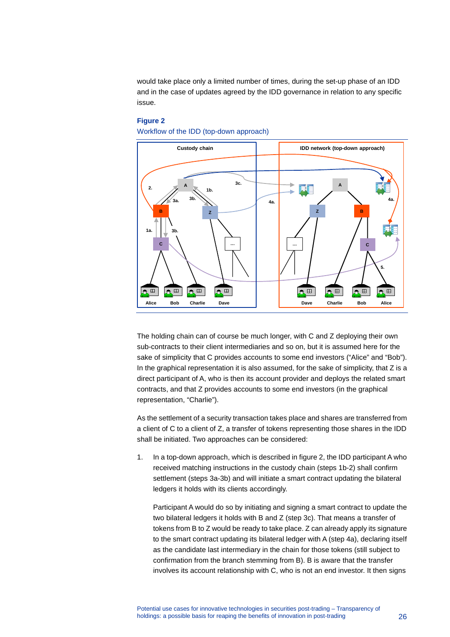would take place only a limited number of times, during the set-up phase of an IDD and in the case of updates agreed by the IDD governance in relation to any specific issue.

#### **Figure 2**

Workflow of the IDD (top-down approach)



The holding chain can of course be much longer, with C and Z deploying their own sub-contracts to their client intermediaries and so on, but it is assumed here for the sake of simplicity that C provides accounts to some end investors ("Alice" and "Bob"). In the graphical representation it is also assumed, for the sake of simplicity, that Z is a direct participant of A, who is then its account provider and deploys the related smart contracts, and that Z provides accounts to some end investors (in the graphical representation, "Charlie").

As the settlement of a security transaction takes place and shares are transferred from a client of C to a client of Z, a transfer of tokens representing those shares in the IDD shall be initiated. Two approaches can be considered:

1. In a top-down approach, which is described in figure 2, the IDD participant A who received matching instructions in the custody chain (steps 1b-2) shall confirm settlement (steps 3a-3b) and will initiate a smart contract updating the bilateral ledgers it holds with its clients accordingly.

Participant A would do so by initiating and signing a smart contract to update the two bilateral ledgers it holds with B and Z (step 3c). That means a transfer of tokens from B to Z would be ready to take place. Z can already apply its signature to the smart contract updating its bilateral ledger with A (step 4a), declaring itself as the candidate last intermediary in the chain for those tokens (still subject to confirmation from the branch stemming from B). B is aware that the transfer involves its account relationship with C, who is not an end investor. It then signs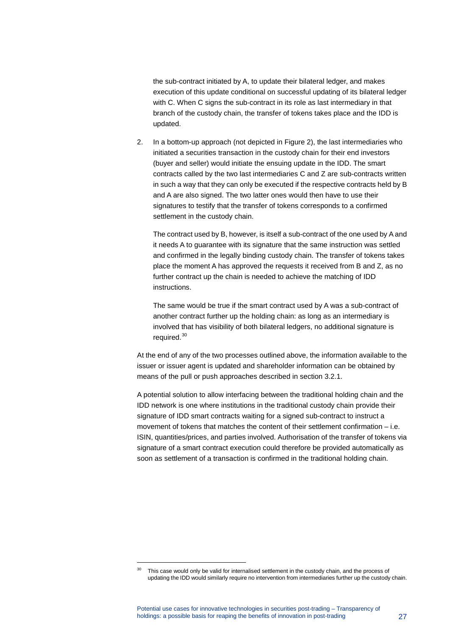the sub-contract initiated by A, to update their bilateral ledger, and makes execution of this update conditional on successful updating of its bilateral ledger with C. When C signs the sub-contract in its role as last intermediary in that branch of the custody chain, the transfer of tokens takes place and the IDD is updated.

2. In a bottom-up approach (not depicted in Figure 2), the last intermediaries who initiated a securities transaction in the custody chain for their end investors (buyer and seller) would initiate the ensuing update in the IDD. The smart contracts called by the two last intermediaries C and Z are sub-contracts written in such a way that they can only be executed if the respective contracts held by B and A are also signed. The two latter ones would then have to use their signatures to testify that the transfer of tokens corresponds to a confirmed settlement in the custody chain.

The contract used by B, however, is itself a sub-contract of the one used by A and it needs A to guarantee with its signature that the same instruction was settled and confirmed in the legally binding custody chain. The transfer of tokens takes place the moment A has approved the requests it received from B and Z, as no further contract up the chain is needed to achieve the matching of IDD instructions.

The same would be true if the smart contract used by A was a sub-contract of another contract further up the holding chain: as long as an intermediary is involved that has visibility of both bilateral ledgers, no additional signature is required.<sup>[30](#page-27-0)</sup>

At the end of any of the two processes outlined above, the information available to the issuer or issuer agent is updated and shareholder information can be obtained by means of the pull or push approaches described in section 3.2.1.

A potential solution to allow interfacing between the traditional holding chain and the IDD network is one where institutions in the traditional custody chain provide their signature of IDD smart contracts waiting for a signed sub-contract to instruct a movement of tokens that matches the content of their settlement confirmation – i.e. ISIN, quantities/prices, and parties involved. Authorisation of the transfer of tokens via signature of a smart contract execution could therefore be provided automatically as soon as settlement of a transaction is confirmed in the traditional holding chain.

<span id="page-27-0"></span>This case would only be valid for internalised settlement in the custody chain, and the process of updating the IDD would similarly require no intervention from intermediaries further up the custody chain.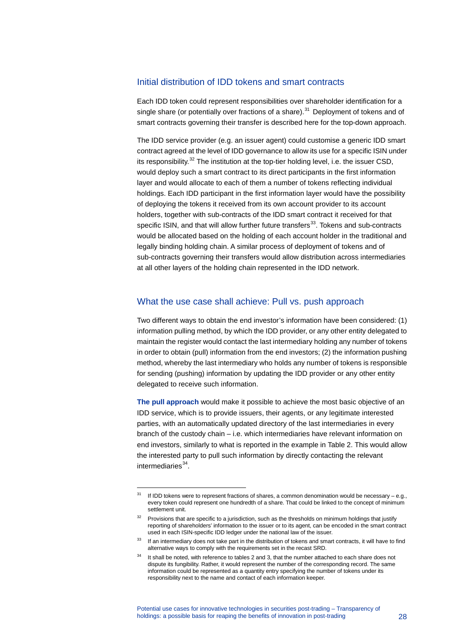#### Initial distribution of IDD tokens and smart contracts

Each IDD token could represent responsibilities over shareholder identification for a single share (or potentially over fractions of a share). $31$  Deployment of tokens and of smart contracts governing their transfer is described here for the top-down approach.

The IDD service provider (e.g. an issuer agent) could customise a generic IDD smart contract agreed at the level of IDD governance to allow its use for a specific ISIN under its responsibility. $32$  The institution at the top-tier holding level, i.e. the issuer CSD, would deploy such a smart contract to its direct participants in the first information layer and would allocate to each of them a number of tokens reflecting individual holdings. Each IDD participant in the first information layer would have the possibility of deploying the tokens it received from its own account provider to its account holders, together with sub-contracts of the IDD smart contract it received for that specific ISIN, and that will allow further future transfers<sup>33</sup>. Tokens and sub-contracts would be allocated based on the holding of each account holder in the traditional and legally binding holding chain. A similar process of deployment of tokens and of sub-contracts governing their transfers would allow distribution across intermediaries at all other layers of the holding chain represented in the IDD network.

#### What the use case shall achieve: Pull vs. push approach

Two different ways to obtain the end investor's information have been considered: (1) information pulling method, by which the IDD provider, or any other entity delegated to maintain the register would contact the last intermediary holding any number of tokens in order to obtain (pull) information from the end investors; (2) the information pushing method, whereby the last intermediary who holds any number of tokens is responsible for sending (pushing) information by updating the IDD provider or any other entity delegated to receive such information.

**The pull approach** would make it possible to achieve the most basic objective of an IDD service, which is to provide issuers, their agents, or any legitimate interested parties, with an automatically updated directory of the last intermediaries in every branch of the custody chain – i.e. which intermediaries have relevant information on end investors, similarly to what is reported in the example in Table 2. This would allow the interested party to pull such information by directly contacting the relevant intermediaries $34$ .

<span id="page-28-0"></span><sup>&</sup>lt;sup>31</sup> If IDD tokens were to represent fractions of shares, a common denomination would be necessary – e.g., every token could represent one hundredth of a share. That could be linked to the concept of minimum settlement unit.

<span id="page-28-1"></span><sup>&</sup>lt;sup>32</sup> Provisions that are specific to a jurisdiction, such as the thresholds on minimum holdings that justify reporting of shareholders' information to the issuer or to its agent, can be encoded in the smart contract used in each ISIN-specific IDD ledger under the national law of the issuer.

<span id="page-28-2"></span><sup>&</sup>lt;sup>33</sup> If an intermediary does not take part in the distribution of tokens and smart contracts, it will have to find alternative ways to comply with the requirements set in the recast SRD.

<span id="page-28-3"></span>It shall be noted, with reference to tables 2 and 3, that the number attached to each share does not dispute its fungibility. Rather, it would represent the number of the corresponding record. The same information could be represented as a quantity entry specifying the number of tokens under its responsibility next to the name and contact of each information keeper.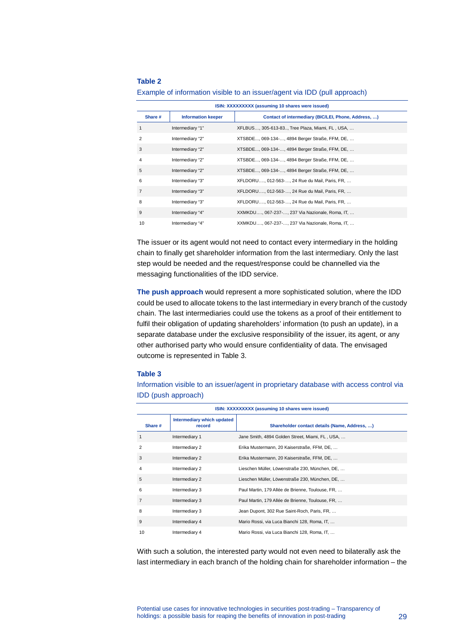#### **Table 2**

| ISIN: XXXXXXXXX (assuming 10 shares were issued) |                           |                                                     |
|--------------------------------------------------|---------------------------|-----------------------------------------------------|
| Share #                                          | <b>Information keeper</b> | Contact of intermediary (BIC/LEI, Phone, Address, ) |
|                                                  | Intermediary "1"          | XFLBUS, 305-613-83, Tree Plaza, Miami, FL, USA,     |
| 2                                                | Intermediary "2"          | XTSBDE, 069-134-, 4894 Berger Straße, FFM, DE,      |
| 3                                                | Intermediary "2"          | XTSBDE, 069-134-, 4894 Berger Straße, FFM, DE,      |
| 4                                                | Intermediary "2"          | XTSBDE, 069-134-, 4894 Berger Straße, FFM, DE,      |
| 5                                                | Intermediary "2"          | XTSBDE, 069-134-, 4894 Berger Straße, FFM, DE,      |
| 6                                                | Intermediary "3"          | XFLDORU, 012-563-, 24 Rue du Mail, Paris, FR,       |
| 7                                                | Intermediary "3"          | XFLDORU, 012-563-, 24 Rue du Mail, Paris, FR,       |
| 8                                                | Intermediary "3"          | XFLDORU, 012-563-, 24 Rue du Mail, Paris, FR,       |
| 9                                                | Intermediary "4"          | XXMKDU, 067-237-, 237 Via Nazionale, Roma, IT,      |
| 10                                               | Intermediary "4"          | XXMKDU, 067-237-, 237 Via Nazionale, Roma, IT,      |

Example of information visible to an issuer/agent via IDD (pull approach)

The issuer or its agent would not need to contact every intermediary in the holding chain to finally get shareholder information from the last intermediary. Only the last step would be needed and the request/response could be channelled via the messaging functionalities of the IDD service.

**The push approach** would represent a more sophisticated solution, where the IDD could be used to allocate tokens to the last intermediary in every branch of the custody chain. The last intermediaries could use the tokens as a proof of their entitlement to fulfil their obligation of updating shareholders' information (to push an update), in a separate database under the exclusive responsibility of the issuer, its agent, or any other authorised party who would ensure confidentiality of data. The envisaged outcome is represented in Table 3.

#### **Table 3**

Information visible to an issuer/agent in proprietary database with access control via IDD (push approach)

| ISIN: XXXXXXXXX (assuming 10 shares were issued) |                                      |                                                  |  |
|--------------------------------------------------|--------------------------------------|--------------------------------------------------|--|
| Share #                                          | Intermediary which updated<br>record | Shareholder contact details (Name, Address, )    |  |
| $\mathbf{1}$                                     | Intermediary 1                       | Jane Smith, 4894 Golden Street, Miami, FL, USA,  |  |
| $\overline{2}$                                   | Intermediary 2                       | Erika Mustermann, 20 Kaiserstraße, FFM, DE,      |  |
| 3                                                | Intermediary 2                       | Erika Mustermann, 20 Kaiserstraße, FFM, DE,      |  |
| $\overline{4}$                                   | Intermediary 2                       | Lieschen Müller, Löwenstraße 230, München, DE,   |  |
| 5                                                | Intermediary 2                       | Lieschen Müller, Löwenstraße 230, München, DE,   |  |
| 6                                                | Intermediary 3                       | Paul Martin, 179 Allée de Brienne, Toulouse, FR, |  |
| $\overline{7}$                                   | Intermediary 3                       | Paul Martin, 179 Allée de Brienne, Toulouse, FR, |  |
| 8                                                | Intermediary 3                       | Jean Dupont, 302 Rue Saint-Roch, Paris, FR,      |  |
| 9                                                | Intermediary 4                       | Mario Rossi, via Luca Bianchi 128, Roma, IT,     |  |
| 10                                               | Intermediary 4                       | Mario Rossi, via Luca Bianchi 128, Roma, IT,     |  |

With such a solution, the interested party would not even need to bilaterally ask the last intermediary in each branch of the holding chain for shareholder information – the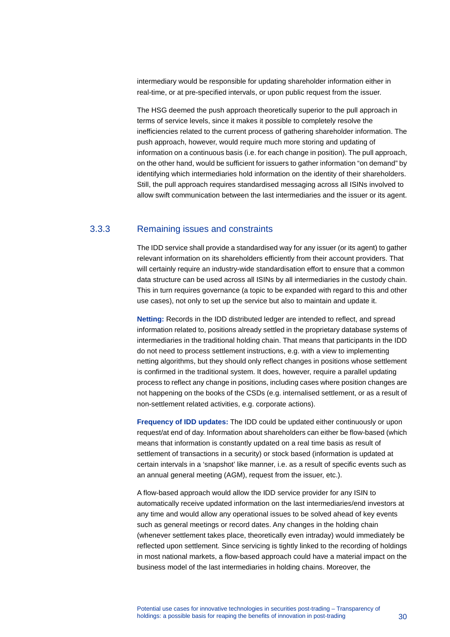intermediary would be responsible for updating shareholder information either in real-time, or at pre-specified intervals, or upon public request from the issuer.

The HSG deemed the push approach theoretically superior to the pull approach in terms of service levels, since it makes it possible to completely resolve the inefficiencies related to the current process of gathering shareholder information. The push approach, however, would require much more storing and updating of information on a continuous basis (i.e. for each change in position). The pull approach, on the other hand, would be sufficient for issuers to gather information "on demand" by identifying which intermediaries hold information on the identity of their shareholders. Still, the pull approach requires standardised messaging across all ISINs involved to allow swift communication between the last intermediaries and the issuer or its agent.

#### 3.3.3 Remaining issues and constraints

The IDD service shall provide a standardised way for any issuer (or its agent) to gather relevant information on its shareholders efficiently from their account providers. That will certainly require an industry-wide standardisation effort to ensure that a common data structure can be used across all ISINs by all intermediaries in the custody chain. This in turn requires governance (a topic to be expanded with regard to this and other use cases), not only to set up the service but also to maintain and update it.

**Netting:** Records in the IDD distributed ledger are intended to reflect, and spread information related to, positions already settled in the proprietary database systems of intermediaries in the traditional holding chain. That means that participants in the IDD do not need to process settlement instructions, e.g. with a view to implementing netting algorithms, but they should only reflect changes in positions whose settlement is confirmed in the traditional system. It does, however, require a parallel updating process to reflect any change in positions, including cases where position changes are not happening on the books of the CSDs (e.g. internalised settlement, or as a result of non-settlement related activities, e.g. corporate actions).

**Frequency of IDD updates:** The IDD could be updated either continuously or upon request/at end of day. Information about shareholders can either be flow-based (which means that information is constantly updated on a real time basis as result of settlement of transactions in a security) or stock based (information is updated at certain intervals in a 'snapshot' like manner, i.e. as a result of specific events such as an annual general meeting (AGM), request from the issuer, etc.).

A flow-based approach would allow the IDD service provider for any ISIN to automatically receive updated information on the last intermediaries/end investors at any time and would allow any operational issues to be solved ahead of key events such as general meetings or record dates. Any changes in the holding chain (whenever settlement takes place, theoretically even intraday) would immediately be reflected upon settlement. Since servicing is tightly linked to the recording of holdings in most national markets, a flow-based approach could have a material impact on the business model of the last intermediaries in holding chains. Moreover, the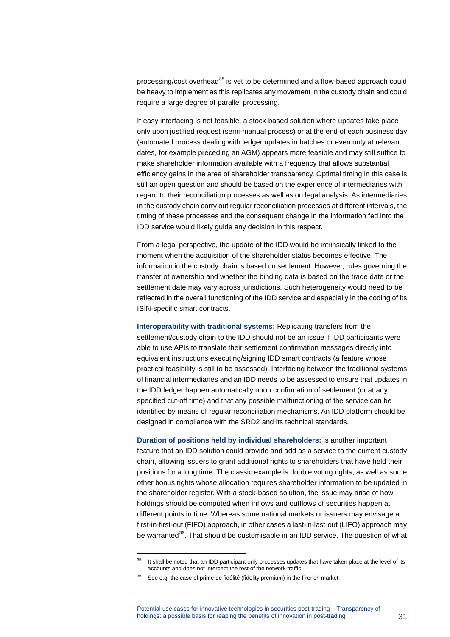processing/cost overhead $35$  is yet to be determined and a flow-based approach could be heavy to implement as this replicates any movement in the custody chain and could require a large degree of parallel processing.

If easy interfacing is not feasible, a stock-based solution where updates take place only upon justified request (semi-manual process) or at the end of each business day (automated process dealing with ledger updates in batches or even only at relevant dates, for example preceding an AGM) appears more feasible and may still suffice to make shareholder information available with a frequency that allows substantial efficiency gains in the area of shareholder transparency. Optimal timing in this case is still an open question and should be based on the experience of intermediaries with regard to their reconciliation processes as well as on legal analysis. As intermediaries in the custody chain carry out regular reconciliation processes at different intervals, the timing of these processes and the consequent change in the information fed into the IDD service would likely guide any decision in this respect.

From a legal perspective, the update of the IDD would be intrinsically linked to the moment when the acquisition of the shareholder status becomes effective. The information in the custody chain is based on settlement. However, rules governing the transfer of ownership and whether the binding data is based on the trade date or the settlement date may vary across jurisdictions. Such heterogeneity would need to be reflected in the overall functioning of the IDD service and especially in the coding of its ISIN-specific smart contracts.

**Interoperability with traditional systems:** Replicating transfers from the settlement/custody chain to the IDD should not be an issue if IDD participants were able to use APIs to translate their settlement confirmation messages directly into equivalent instructions executing/signing IDD smart contracts (a feature whose practical feasibility is still to be assessed). Interfacing between the traditional systems of financial intermediaries and an IDD needs to be assessed to ensure that updates in the IDD ledger happen automatically upon confirmation of settlement (or at any specified cut-off time) and that any possible malfunctioning of the service can be identified by means of regular reconciliation mechanisms. An IDD platform should be designed in compliance with the SRD2 and its technical standards.

**Duration of positions held by individual shareholders:** is another important feature that an IDD solution could provide and add as a service to the current custody chain, allowing issuers to grant additional rights to shareholders that have held their positions for a long time. The classic example is double voting rights, as well as some other bonus rights whose allocation requires shareholder information to be updated in the shareholder register. With a stock-based solution, the issue may arise of how holdings should be computed when inflows and outflows of securities happen at different points in time. Whereas some national markets or issuers may envisage a first-in-first-out (FIFO) approach, in other cases a last-in-last-out (LIFO) approach may be warranted<sup>[36](#page-31-1)</sup>. That should be customisable in an IDD service. The question of what

<span id="page-31-0"></span><sup>&</sup>lt;sup>35</sup> It shall be noted that an IDD participant only processes updates that have taken place at the level of its accounts and does not intercept the rest of the network traffic.

<span id="page-31-1"></span> $36$  See e.g. the case of prime de fidélité (fidelity premium) in the French market.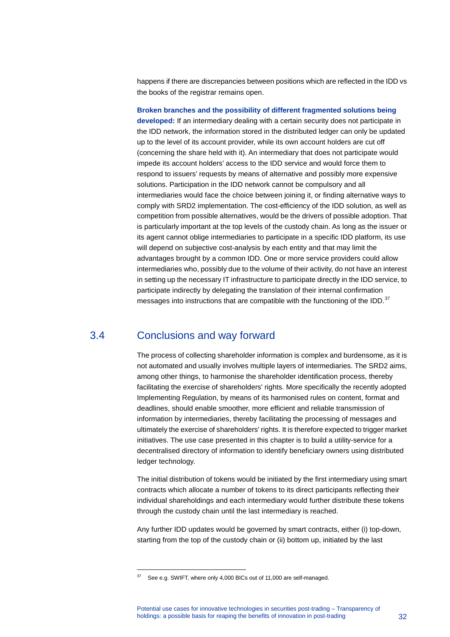happens if there are discrepancies between positions which are reflected in the IDD vs the books of the registrar remains open.

**Broken branches and the possibility of different fragmented solutions being developed:** If an intermediary dealing with a certain security does not participate in the IDD network, the information stored in the distributed ledger can only be updated up to the level of its account provider, while its own account holders are cut off (concerning the share held with it). An intermediary that does not participate would impede its account holders' access to the IDD service and would force them to respond to issuers' requests by means of alternative and possibly more expensive solutions. Participation in the IDD network cannot be compulsory and all intermediaries would face the choice between joining it, or finding alternative ways to comply with SRD2 implementation. The cost-efficiency of the IDD solution, as well as competition from possible alternatives, would be the drivers of possible adoption. That is particularly important at the top levels of the custody chain. As long as the issuer or its agent cannot oblige intermediaries to participate in a specific IDD platform, its use will depend on subjective cost-analysis by each entity and that may limit the advantages brought by a common IDD. One or more service providers could allow intermediaries who, possibly due to the volume of their activity, do not have an interest in setting up the necessary IT infrastructure to participate directly in the IDD service, to participate indirectly by delegating the translation of their internal confirmation messages into instructions that are compatible with the functioning of the IDD. $37$ 

### 3.4 Conclusions and way forward

-

<span id="page-32-0"></span>The process of collecting shareholder information is complex and burdensome, as it is not automated and usually involves multiple layers of intermediaries. The SRD2 aims, among other things, to harmonise the shareholder identification process, thereby facilitating the exercise of shareholders' rights. More specifically the recently adopted Implementing Regulation, by means of its harmonised rules on content, format and deadlines, should enable smoother, more efficient and reliable transmission of information by intermediaries, thereby facilitating the processing of messages and ultimately the exercise of shareholders' rights. It is therefore expected to trigger market initiatives. The use case presented in this chapter is to build a utility-service for a decentralised directory of information to identify beneficiary owners using distributed ledger technology.

The initial distribution of tokens would be initiated by the first intermediary using smart contracts which allocate a number of tokens to its direct participants reflecting their individual shareholdings and each intermediary would further distribute these tokens through the custody chain until the last intermediary is reached.

Any further IDD updates would be governed by smart contracts, either (i) top-down, starting from the top of the custody chain or (ii) bottom up, initiated by the last

<span id="page-32-1"></span><sup>&</sup>lt;sup>37</sup> See e.g. SWIFT, where only 4,000 BICs out of 11,000 are self-managed.

Potential use cases for innovative technologies in securities post-trading – Transparency of holdings: a possible basis for reaping the benefits of innovation in post-trading 32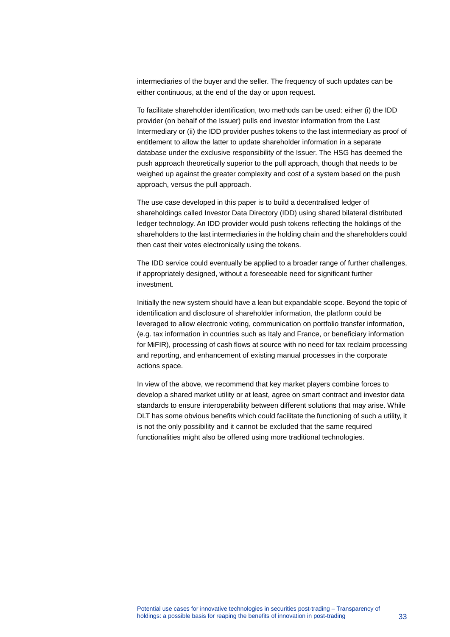intermediaries of the buyer and the seller. The frequency of such updates can be either continuous, at the end of the day or upon request.

To facilitate shareholder identification, two methods can be used: either (i) the IDD provider (on behalf of the Issuer) pulls end investor information from the Last Intermediary or (ii) the IDD provider pushes tokens to the last intermediary as proof of entitlement to allow the latter to update shareholder information in a separate database under the exclusive responsibility of the Issuer. The HSG has deemed the push approach theoretically superior to the pull approach, though that needs to be weighed up against the greater complexity and cost of a system based on the push approach, versus the pull approach.

The use case developed in this paper is to build a decentralised ledger of shareholdings called Investor Data Directory (IDD) using shared bilateral distributed ledger technology. An IDD provider would push tokens reflecting the holdings of the shareholders to the last intermediaries in the holding chain and the shareholders could then cast their votes electronically using the tokens.

The IDD service could eventually be applied to a broader range of further challenges, if appropriately designed, without a foreseeable need for significant further investment.

Initially the new system should have a lean but expandable scope. Beyond the topic of identification and disclosure of shareholder information, the platform could be leveraged to allow electronic voting, communication on portfolio transfer information, (e.g. tax information in countries such as Italy and France, or beneficiary information for MiFIR), processing of cash flows at source with no need for tax reclaim processing and reporting, and enhancement of existing manual processes in the corporate actions space.

In view of the above, we recommend that key market players combine forces to develop a shared market utility or at least, agree on smart contract and investor data standards to ensure interoperability between different solutions that may arise. While DLT has some obvious benefits which could facilitate the functioning of such a utility, it is not the only possibility and it cannot be excluded that the same required functionalities might also be offered using more traditional technologies.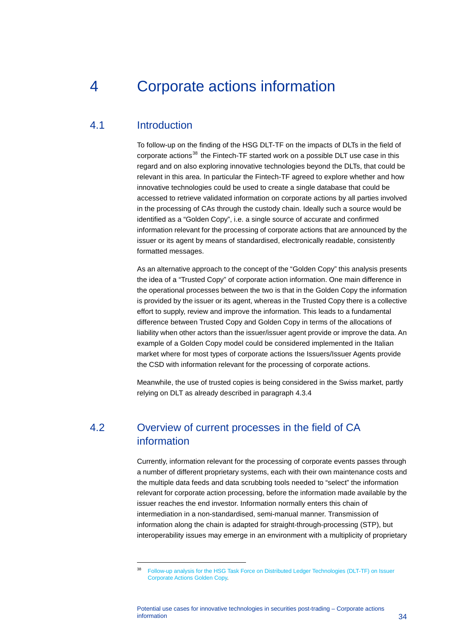## <span id="page-34-0"></span>4 Corporate actions information

### 4.1 Introduction

<span id="page-34-3"></span>-

<span id="page-34-1"></span>To follow-up on the finding of the HSG DLT-TF on the impacts of DLTs in the field of corporate actions<sup>[38](#page-34-3)</sup> the Fintech-TF started work on a possible DLT use case in this regard and on also exploring innovative technologies beyond the DLTs, that could be relevant in this area. In particular the Fintech-TF agreed to explore whether and how innovative technologies could be used to create a single database that could be accessed to retrieve validated information on corporate actions by all parties involved in the processing of CAs through the custody chain. Ideally such a source would be identified as a "Golden Copy", i.e. a single source of accurate and confirmed information relevant for the processing of corporate actions that are announced by the issuer or its agent by means of standardised, electronically readable, consistently formatted messages.

As an alternative approach to the concept of the "Golden Copy" this analysis presents the idea of a "Trusted Copy" of corporate action information. One main difference in the operational processes between the two is that in the Golden Copy the information is provided by the issuer or its agent, whereas in the Trusted Copy there is a collective effort to supply, review and improve the information. This leads to a fundamental difference between Trusted Copy and Golden Copy in terms of the allocations of liability when other actors than the issuer/issuer agent provide or improve the data. An example of a Golden Copy model could be considered implemented in the Italian market where for most types of corporate actions the Issuers/Issuer Agents provide the CSD with information relevant for the processing of corporate actions.

<span id="page-34-2"></span>Meanwhile, the use of trusted copies is being considered in the Swiss market, partly relying on DLT as already described in paragraph [4.3.4](#page-38-0)

## 4.2 Overview of current processes in the field of CA information

Currently, information relevant for the processing of corporate events passes through a number of different proprietary systems, each with their own maintenance costs and the multiple data feeds and data scrubbing tools needed to "select" the information relevant for corporate action processing, before the information made available by the issuer reaches the end investor. Information normally enters this chain of intermediation in a non-standardised, semi-manual manner. Transmission of information along the chain is adapted for straight-through-processing (STP), but interoperability issues may emerge in an environment with a multiplicity of proprietary

<sup>38</sup> [Follow-up analysis for the HSG Task Force on Distributed Ledger Technologies \(DLT-TF\) on Issuer](https://www.ecb.europa.eu/paym/initiatives/shared/docs/e4063-ami-seco-2017-12-07-item-1.6_2-dlt-tf-follow-up-work-on-corporate-actions.pdf)  [Corporate Actions Golden Copy.](https://www.ecb.europa.eu/paym/initiatives/shared/docs/e4063-ami-seco-2017-12-07-item-1.6_2-dlt-tf-follow-up-work-on-corporate-actions.pdf)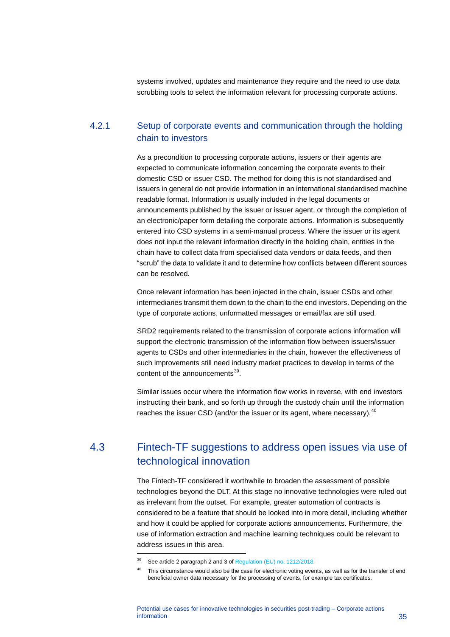systems involved, updates and maintenance they require and the need to use data scrubbing tools to select the information relevant for processing corporate actions.

#### 4.2.1 Setup of corporate events and communication through the holding chain to investors

As a precondition to processing corporate actions, issuers or their agents are expected to communicate information concerning the corporate events to their domestic CSD or issuer CSD. The method for doing this is not standardised and issuers in general do not provide information in an international standardised machine readable format. Information is usually included in the legal documents or announcements published by the issuer or issuer agent, or through the completion of an electronic/paper form detailing the corporate actions. Information is subsequently entered into CSD systems in a semi-manual process. Where the issuer or its agent does not input the relevant information directly in the holding chain, entities in the chain have to collect data from specialised data vendors or data feeds, and then "scrub" the data to validate it and to determine how conflicts between different sources can be resolved.

Once relevant information has been injected in the chain, issuer CSDs and other intermediaries transmit them down to the chain to the end investors. Depending on the type of corporate actions, unformatted messages or email/fax are still used.

SRD2 requirements related to the transmission of corporate actions information will support the electronic transmission of the information flow between issuers/issuer agents to CSDs and other intermediaries in the chain, however the effectiveness of such improvements still need industry market practices to develop in terms of the content of the announcements<sup>39</sup>.

<span id="page-35-0"></span>Similar issues occur where the information flow works in reverse, with end investors instructing their bank, and so forth up through the custody chain until the information reaches the issuer CSD (and/or the issuer or its agent, where necessary).<sup>[40](#page-35-2)</sup>

## 4.3 Fintech-TF suggestions to address open issues via use of technological innovation

The Fintech-TF considered it worthwhile to broaden the assessment of possible technologies beyond the DLT. At this stage no innovative technologies were ruled out as irrelevant from the outset. For example, greater automation of contracts is considered to be a feature that should be looked into in more detail, including whether and how it could be applied for corporate actions announcements. Furthermore, the use of information extraction and machine learning techniques could be relevant to address issues in this area.

<span id="page-35-1"></span><sup>39</sup> See article 2 paragraph 2 and 3 o[f Regulation \(EU\) no. 1212/2018.](https://eur-lex.europa.eu/legal-content/EN/TXT/PDF/?uri=CELEX:32018R1212&from=EN) 

<span id="page-35-2"></span><sup>&</sup>lt;sup>40</sup> This circumstance would also be the case for electronic voting events, as well as for the transfer of end beneficial owner data necessary for the processing of events, for example tax certificates.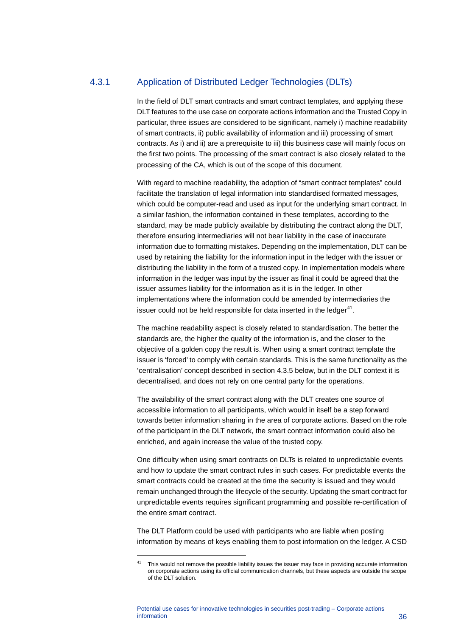#### 4.3.1 Application of Distributed Ledger Technologies (DLTs)

In the field of DLT smart contracts and smart contract templates, and applying these DLT features to the use case on corporate actions information and the Trusted Copy in particular, three issues are considered to be significant, namely i) machine readability of smart contracts, ii) public availability of information and iii) processing of smart contracts. As i) and ii) are a prerequisite to iii) this business case will mainly focus on the first two points. The processing of the smart contract is also closely related to the processing of the CA, which is out of the scope of this document.

With regard to machine readability, the adoption of "smart contract templates" could facilitate the translation of legal information into standardised formatted messages, which could be computer-read and used as input for the underlying smart contract. In a similar fashion, the information contained in these templates, according to the standard, may be made publicly available by distributing the contract along the DLT, therefore ensuring intermediaries will not bear liability in the case of inaccurate information due to formatting mistakes. Depending on the implementation, DLT can be used by retaining the liability for the information input in the ledger with the issuer or distributing the liability in the form of a trusted copy. In implementation models where information in the ledger was input by the issuer as final it could be agreed that the issuer assumes liability for the information as it is in the ledger. In other implementations where the information could be amended by intermediaries the issuer could not be held responsible for data inserted in the ledger $41$ .

The machine readability aspect is closely related to standardisation. The better the standards are, the higher the quality of the information is, and the closer to the objective of a golden copy the result is. When using a smart contract template the issuer is 'forced' to comply with certain standards. This is the same functionality as the 'centralisation' concept described in section [4.3.5](#page-40-0) below, but in the DLT context it is decentralised, and does not rely on one central party for the operations.

The availability of the smart contract along with the DLT creates one source of accessible information to all participants, which would in itself be a step forward towards better information sharing in the area of corporate actions. Based on the role of the participant in the DLT network, the smart contract information could also be enriched, and again increase the value of the trusted copy.

One difficulty when using smart contracts on DLTs is related to unpredictable events and how to update the smart contract rules in such cases. For predictable events the smart contracts could be created at the time the security is issued and they would remain unchanged through the lifecycle of the security. Updating the smart contract for unpredictable events requires significant programming and possible re-certification of the entire smart contract.

The DLT Platform could be used with participants who are liable when posting information by means of keys enabling them to post information on the ledger. A CSD

<span id="page-36-0"></span><sup>&</sup>lt;sup>41</sup> This would not remove the possible liability issues the issuer may face in providing accurate information on corporate actions using its official communication channels, but these aspects are outside the scope of the DLT solution.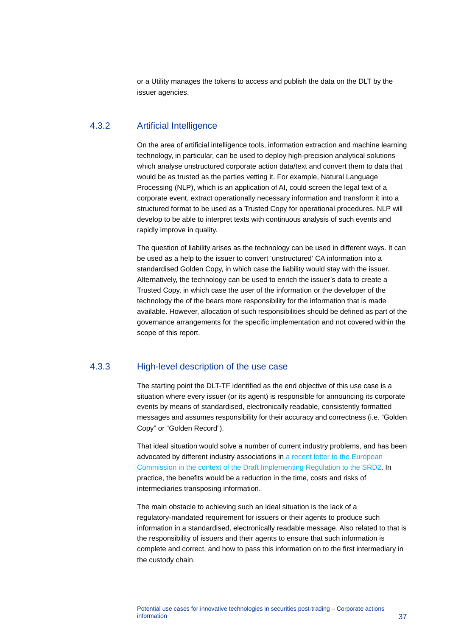<span id="page-37-0"></span>or a Utility manages the tokens to access and publish the data on the DLT by the issuer agencies.

#### 4.3.2 Artificial Intelligence

On the area of artificial intelligence tools, information extraction and machine learning technology, in particular, can be used to deploy high-precision analytical solutions which analyse unstructured corporate action data/text and convert them to data that would be as trusted as the parties vetting it. For example, Natural Language Processing (NLP), which is an application of AI, could screen the legal text of a corporate event, extract operationally necessary information and transform it into a structured format to be used as a Trusted Copy for operational procedures. NLP will develop to be able to interpret texts with continuous analysis of such events and rapidly improve in quality.

The question of liability arises as the technology can be used in different ways. It can be used as a help to the issuer to convert 'unstructured' CA information into a standardised Golden Copy, in which case the liability would stay with the issuer. Alternatively, the technology can be used to enrich the issuer's data to create a Trusted Copy, in which case the user of the information or the developer of the technology the of the bears more responsibility for the information that is made available. However, allocation of such responsibilities should be defined as part of the governance arrangements for the specific implementation and not covered within the scope of this report.

#### 4.3.3 High-level description of the use case

The starting point the DLT-TF identified as the end objective of this use case is a situation where every issuer (or its agent) is responsible for announcing its corporate events by means of standardised, electronically readable, consistently formatted messages and assumes responsibility for their accuracy and correctness (i.e. "Golden Copy" or "Golden Record").

That ideal situation would solve a number of current industry problems, and has been advocated by different industry associations in [a recent letter to the European](https://www.regeringen.se/4a4d57/contentassets/f8a576b6824648a0ac4a0bbc7f7c39af/svenska-fondhandlareforeningen-bilaga-1-afme.pdf)  Commission in the context [of the Draft Implementing Regulation to the SRD2.](https://www.regeringen.se/4a4d57/contentassets/f8a576b6824648a0ac4a0bbc7f7c39af/svenska-fondhandlareforeningen-bilaga-1-afme.pdf) In practice, the benefits would be a reduction in the time, costs and risks of intermediaries transposing information.

The main obstacle to achieving such an ideal situation is the lack of a regulatory-mandated requirement for issuers or their agents to produce such information in a standardised, electronically readable message. Also related to that is the responsibility of issuers and their agents to ensure that such information is complete and correct, and how to pass this information on to the first intermediary in the custody chain.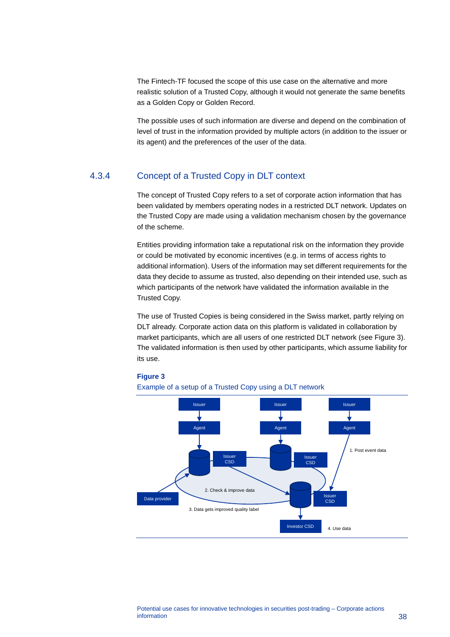The Fintech-TF focused the scope of this use case on the alternative and more realistic solution of a Trusted Copy, although it would not generate the same benefits as a Golden Copy or Golden Record.

<span id="page-38-0"></span>The possible uses of such information are diverse and depend on the combination of level of trust in the information provided by multiple actors (in addition to the issuer or its agent) and the preferences of the user of the data.

#### 4.3.4 Concept of a Trusted Copy in DLT context

The concept of Trusted Copy refers to a set of corporate action information that has been validated by members operating nodes in a restricted DLT network. Updates on the Trusted Copy are made using a validation mechanism chosen by the governance of the scheme.

Entities providing information take a reputational risk on the information they provide or could be motivated by economic incentives (e.g. in terms of access rights to additional information). Users of the information may set different requirements for the data they decide to assume as trusted, also depending on their intended use, such as which participants of the network have validated the information available in the Trusted Copy.

The use of Trusted Copies is being considered in the Swiss market, partly relying on DLT already. Corporate action data on this platform is validated in collaboration by market participants, which are all users of one restricted DLT network (see Figure 3). The validated information is then used by other participants, which assume liability for its use.



#### **Figure 3**

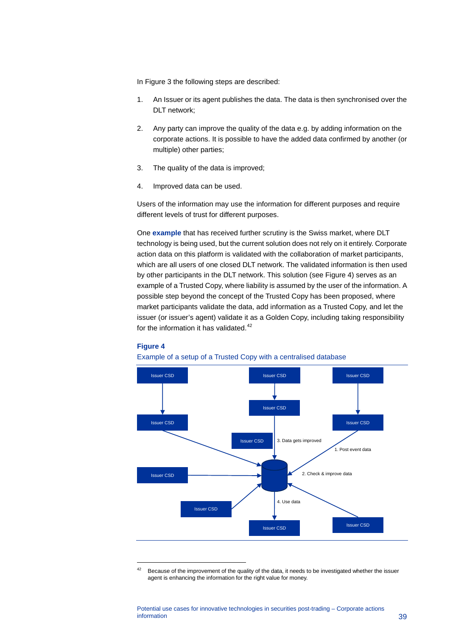In Figure 3 the following steps are described:

- 1. An Issuer or its agent publishes the data. The data is then synchronised over the DLT network;
- 2. Any party can improve the quality of the data e.g. by adding information on the corporate actions. It is possible to have the added data confirmed by another (or multiple) other parties;
- 3. The quality of the data is improved;
- 4. Improved data can be used.

Users of the information may use the information for different purposes and require different levels of trust for different purposes.

One **example** that has received further scrutiny is the Swiss market, where DLT technology is being used, but the current solution does not rely on it entirely. Corporate action data on this platform is validated with the collaboration of market participants, which are all users of one closed DLT network. The validated information is then used by other participants in the DLT network. This solution (see Figure 4) serves as an example of a Trusted Copy, where liability is assumed by the user of the information. A possible step beyond the concept of the Trusted Copy has been proposed, where market participants validate the data, add information as a Trusted Copy, and let the issuer (or issuer's agent) validate it as a Golden Copy, including taking responsibility for the information it has validated. $42$ 

#### **Figure 4**





<span id="page-39-0"></span><sup>&</sup>lt;sup>42</sup> Because of the improvement of the quality of the data, it needs to be investigated whether the issuer agent is enhancing the information for the right value for money.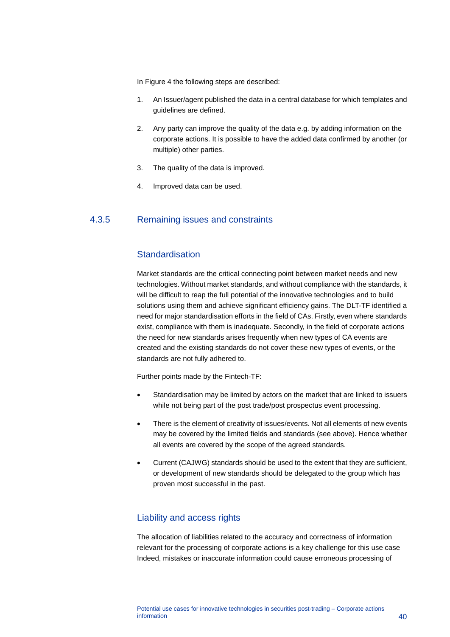In Figure 4 the following steps are described:

- 1. An Issuer/agent published the data in a central database for which templates and guidelines are defined.
- 2. Any party can improve the quality of the data e.g. by adding information on the corporate actions. It is possible to have the added data confirmed by another (or multiple) other parties.
- 3. The quality of the data is improved.
- <span id="page-40-0"></span>4. Improved data can be used.

### 4.3.5 Remaining issues and constraints

#### **Standardisation**

Market standards are the critical connecting point between market needs and new technologies. Without market standards, and without compliance with the standards, it will be difficult to reap the full potential of the innovative technologies and to build solutions using them and achieve significant efficiency gains. The DLT-TF identified a need for major standardisation efforts in the field of CAs. Firstly, even where standards exist, compliance with them is inadequate. Secondly, in the field of corporate actions the need for new standards arises frequently when new types of CA events are created and the existing standards do not cover these new types of events, or the standards are not fully adhered to.

Further points made by the Fintech-TF:

- Standardisation may be limited by actors on the market that are linked to issuers while not being part of the post trade/post prospectus event processing.
- There is the element of creativity of issues/events. Not all elements of new events may be covered by the limited fields and standards (see above). Hence whether all events are covered by the scope of the agreed standards.
- Current (CAJWG) standards should be used to the extent that they are sufficient, or development of new standards should be delegated to the group which has proven most successful in the past.

#### Liability and access rights

The allocation of liabilities related to the accuracy and correctness of information relevant for the processing of corporate actions is a key challenge for this use case Indeed, mistakes or inaccurate information could cause erroneous processing of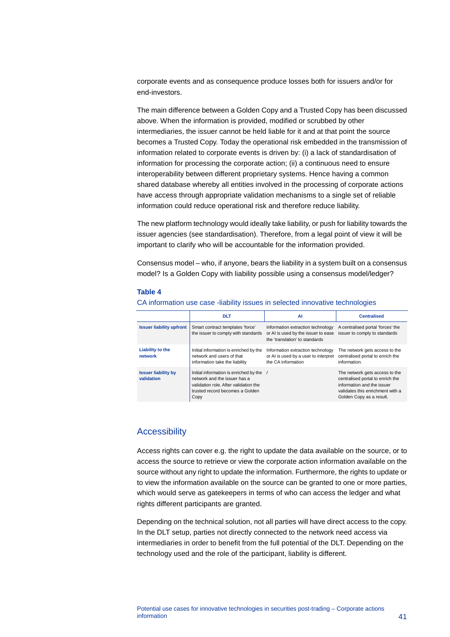corporate events and as consequence produce losses both for issuers and/or for end-investors.

The main difference between a Golden Copy and a Trusted Copy has been discussed above. When the information is provided, modified or scrubbed by other intermediaries, the issuer cannot be held liable for it and at that point the source becomes a Trusted Copy. Today the operational risk embedded in the transmission of information related to corporate events is driven by: (i) a lack of standardisation of information for processing the corporate action; (ii) a continuous need to ensure interoperability between different proprietary systems. Hence having a common shared database whereby all entities involved in the processing of corporate actions have access through appropriate validation mechanisms to a single set of reliable information could reduce operational risk and therefore reduce liability.

The new platform technology would ideally take liability, or push for liability towards the issuer agencies (see standardisation). Therefore, from a legal point of view it will be important to clarify who will be accountable for the information provided.

Consensus model – who, if anyone, bears the liability in a system built on a consensus model? Is a Golden Copy with liability possible using a consensus model/ledger?

#### **Table 4**

|                                          | <b>DLT</b>                                                                                                                                                 | ΑI                                                                                                         | <b>Centralised</b>                                                                                                                                               |
|------------------------------------------|------------------------------------------------------------------------------------------------------------------------------------------------------------|------------------------------------------------------------------------------------------------------------|------------------------------------------------------------------------------------------------------------------------------------------------------------------|
| <b>Issuer liability upfront</b>          | Smart contract templates 'force'<br>the issuer to comply with standards                                                                                    | Information extraction technology<br>or AI is used by the issuer to ease<br>the 'translation' to standards | A centralised portal 'forces' the<br>issuer to comply to standards                                                                                               |
| Liability to the<br>network              | Initial information is enriched by the<br>network and users of that<br>information take the liability                                                      | Information extraction technology<br>or AI is used by a user to interpret<br>the CA information            | The network gets access to the<br>centralised portal to enrich the<br>information.                                                                               |
| <b>Issuer liability by</b><br>validation | Initial information is enriched by the<br>network and the issuer has a<br>validation role. After validation the<br>trusted record becomes a Golden<br>Copy |                                                                                                            | The network gets access to the<br>centralised portal to enrich the<br>information and the issuer<br>validates this enrichment with a<br>Golden Copy as a result. |

#### CA information use case -liability issues in selected innovative technologies

#### **Accessibility**

Access rights can cover e.g. the right to update the data available on the source, or to access the source to retrieve or view the corporate action information available on the source without any right to update the information. Furthermore, the rights to update or to view the information available on the source can be granted to one or more parties, which would serve as gatekeepers in terms of who can access the ledger and what rights different participants are granted.

Depending on the technical solution, not all parties will have direct access to the copy. In the DLT setup, parties not directly connected to the network need access via intermediaries in order to benefit from the full potential of the DLT. Depending on the technology used and the role of the participant, liability is different.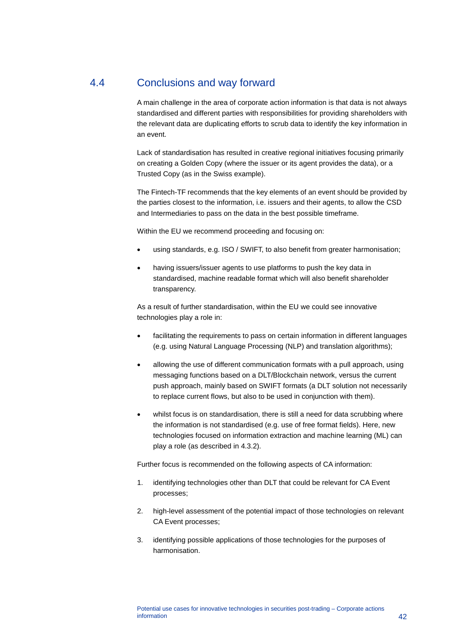## 4.4 Conclusions and way forward

<span id="page-42-0"></span>A main challenge in the area of corporate action information is that data is not always standardised and different parties with responsibilities for providing shareholders with the relevant data are duplicating efforts to scrub data to identify the key information in an event.

Lack of standardisation has resulted in creative regional initiatives focusing primarily on creating a Golden Copy (where the issuer or its agent provides the data), or a Trusted Copy (as in the Swiss example).

The Fintech-TF recommends that the key elements of an event should be provided by the parties closest to the information, i.e. issuers and their agents, to allow the CSD and Intermediaries to pass on the data in the best possible timeframe.

Within the EU we recommend proceeding and focusing on:

- using standards, e.g. ISO / SWIFT, to also benefit from greater harmonisation;
- having issuers/issuer agents to use platforms to push the key data in standardised, machine readable format which will also benefit shareholder transparency.

As a result of further standardisation, within the EU we could see innovative technologies play a role in:

- facilitating the requirements to pass on certain information in different languages (e.g. using Natural Language Processing (NLP) and translation algorithms);
- allowing the use of different communication formats with a pull approach, using messaging functions based on a DLT/Blockchain network, versus the current push approach, mainly based on SWIFT formats (a DLT solution not necessarily to replace current flows, but also to be used in conjunction with them).
- whilst focus is on standardisation, there is still a need for data scrubbing where the information is not standardised (e.g. use of free format fields). Here, new technologies focused on information extraction and machine learning (ML) can play a role (as described in [4.3.2\)](#page-37-0).

Further focus is recommended on the following aspects of CA information:

- 1. identifying technologies other than DLT that could be relevant for CA Event processes;
- 2. high-level assessment of the potential impact of those technologies on relevant CA Event processes;
- 3. identifying possible applications of those technologies for the purposes of harmonisation.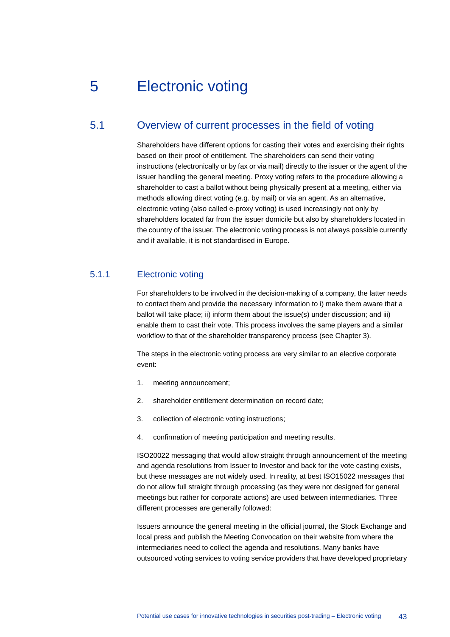## <span id="page-43-0"></span>5 Electronic voting

## 5.1 Overview of current processes in the field of voting

<span id="page-43-1"></span>Shareholders have different options for casting their votes and exercising their rights based on their proof of entitlement. The shareholders can send their voting instructions (electronically or by fax or via mail) directly to the issuer or the agent of the issuer handling the general meeting. Proxy voting refers to the procedure allowing a shareholder to cast a ballot without being physically present at a meeting, either via methods allowing direct voting (e.g. by mail) or via an agent. As an alternative, electronic voting (also called e-proxy voting) is used increasingly not only by shareholders located far from the issuer domicile but also by shareholders located in the country of the issuer. The electronic voting process is not always possible currently and if available, it is not standardised in Europe.

#### 5.1.1 Electronic voting

For shareholders to be involved in the decision-making of a company, the latter needs to contact them and provide the necessary information to i) make them aware that a ballot will take place; ii) inform them about the issue(s) under discussion; and iii) enable them to cast their vote. This process involves the same players and a similar workflow to that of the shareholder transparency process (see Chapter 3).

The steps in the electronic voting process are very similar to an elective corporate event:

- 1. meeting announcement;
- 2. shareholder entitlement determination on record date;
- 3. collection of electronic voting instructions;
- 4. confirmation of meeting participation and meeting results.

ISO20022 messaging that would allow straight through announcement of the meeting and agenda resolutions from Issuer to Investor and back for the vote casting exists, but these messages are not widely used. In reality, at best ISO15022 messages that do not allow full straight through processing (as they were not designed for general meetings but rather for corporate actions) are used between intermediaries. Three different processes are generally followed:

Issuers announce the general meeting in the official journal, the Stock Exchange and local press and publish the Meeting Convocation on their website from where the intermediaries need to collect the agenda and resolutions. Many banks have outsourced voting services to voting service providers that have developed proprietary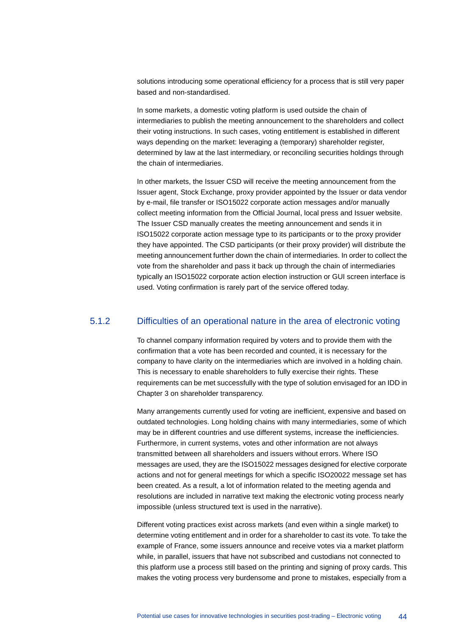solutions introducing some operational efficiency for a process that is still very paper based and non-standardised.

In some markets, a domestic voting platform is used outside the chain of intermediaries to publish the meeting announcement to the shareholders and collect their voting instructions. In such cases, voting entitlement is established in different ways depending on the market: leveraging a (temporary) shareholder register, determined by law at the last intermediary, or reconciling securities holdings through the chain of intermediaries.

In other markets, the Issuer CSD will receive the meeting announcement from the Issuer agent, Stock Exchange, proxy provider appointed by the Issuer or data vendor by e-mail, file transfer or ISO15022 corporate action messages and/or manually collect meeting information from the Official Journal, local press and Issuer website. The Issuer CSD manually creates the meeting announcement and sends it in ISO15022 corporate action message type to its participants or to the proxy provider they have appointed. The CSD participants (or their proxy provider) will distribute the meeting announcement further down the chain of intermediaries. In order to collect the vote from the shareholder and pass it back up through the chain of intermediaries typically an ISO15022 corporate action election instruction or GUI screen interface is used. Voting confirmation is rarely part of the service offered today.

#### 5.1.2 Difficulties of an operational nature in the area of electronic voting

To channel company information required by voters and to provide them with the confirmation that a vote has been recorded and counted, it is necessary for the company to have clarity on the intermediaries which are involved in a holding chain. This is necessary to enable shareholders to fully exercise their rights. These requirements can be met successfully with the type of solution envisaged for an IDD in Chapter 3 on shareholder transparency.

Many arrangements currently used for voting are inefficient, expensive and based on outdated technologies. Long holding chains with many intermediaries, some of which may be in different countries and use different systems, increase the inefficiencies. Furthermore, in current systems, votes and other information are not always transmitted between all shareholders and issuers without errors. Where ISO messages are used, they are the ISO15022 messages designed for elective corporate actions and not for general meetings for which a specific ISO20022 message set has been created. As a result, a lot of information related to the meeting agenda and resolutions are included in narrative text making the electronic voting process nearly impossible (unless structured text is used in the narrative).

Different voting practices exist across markets (and even within a single market) to determine voting entitlement and in order for a shareholder to cast its vote. To take the example of France, some issuers announce and receive votes via a market platform while, in parallel, issuers that have not subscribed and custodians not connected to this platform use a process still based on the printing and signing of proxy cards. This makes the voting process very burdensome and prone to mistakes, especially from a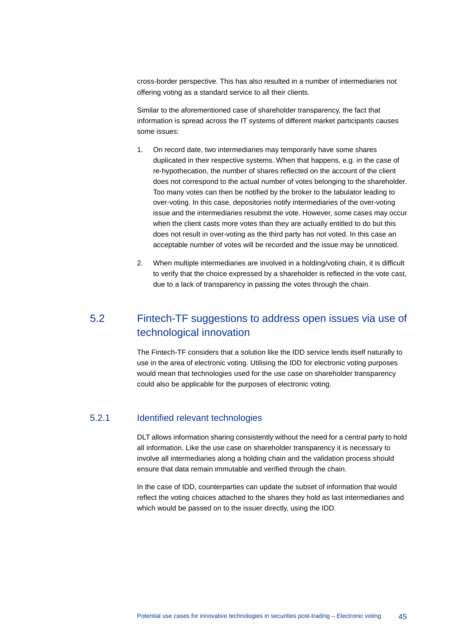cross-border perspective. This has also resulted in a number of intermediaries not offering voting as a standard service to all their clients.

Similar to the aforementioned case of shareholder transparency, the fact that information is spread across the IT systems of different market participants causes some issues:

- 1. On record date, two intermediaries may temporarily have some shares duplicated in their respective systems. When that happens, e.g. in the case of re-hypothecation, the number of shares reflected on the account of the client does not correspond to the actual number of votes belonging to the shareholder. Too many votes can then be notified by the broker to the tabulator leading to over-voting. In this case, depositories notify intermediaries of the over-voting issue and the intermediaries resubmit the vote. However, some cases may occur when the client casts more votes than they are actually entitled to do but this does not result in over-voting as the third party has not voted. In this case an acceptable number of votes will be recorded and the issue may be unnoticed.
- <span id="page-45-0"></span>2. When multiple intermediaries are involved in a holding/voting chain, it is difficult to verify that the choice expressed by a shareholder is reflected in the vote cast, due to a lack of transparency in passing the votes through the chain.

## 5.2 Fintech-TF suggestions to address open issues via use of technological innovation

The Fintech-TF considers that a solution like the IDD service lends itself naturally to use in the area of electronic voting. Utilising the IDD for electronic voting purposes would mean that technologies used for the use case on shareholder transparency could also be applicable for the purposes of electronic voting.

#### 5.2.1 Identified relevant technologies

DLT allows information sharing consistently without the need for a central party to hold all information. Like the use case on shareholder transparency it is necessary to involve all intermediaries along a holding chain and the validation process should ensure that data remain immutable and verified through the chain.

In the case of IDD, counterparties can update the subset of information that would reflect the voting choices attached to the shares they hold as last intermediaries and which would be passed on to the issuer directly, using the IDD.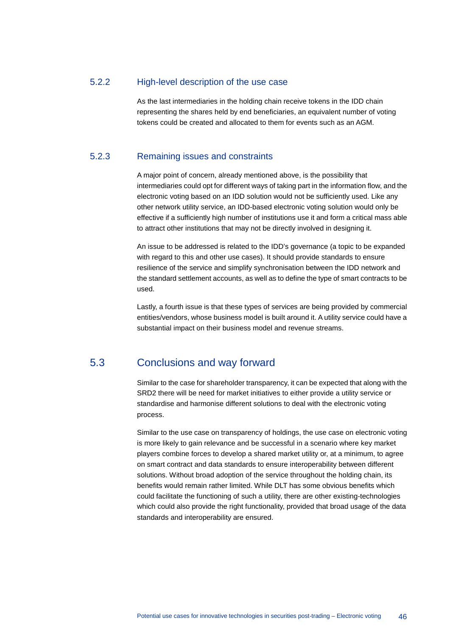#### 5.2.2 High-level description of the use case

As the last intermediaries in the holding chain receive tokens in the IDD chain representing the shares held by end beneficiaries, an equivalent number of voting tokens could be created and allocated to them for events such as an AGM.

#### 5.2.3 Remaining issues and constraints

A major point of concern, already mentioned above, is the possibility that intermediaries could opt for different ways of taking part in the information flow, and the electronic voting based on an IDD solution would not be sufficiently used. Like any other network utility service, an IDD-based electronic voting solution would only be effective if a sufficiently high number of institutions use it and form a critical mass able to attract other institutions that may not be directly involved in designing it.

An issue to be addressed is related to the IDD's governance (a topic to be expanded with regard to this and other use cases). It should provide standards to ensure resilience of the service and simplify synchronisation between the IDD network and the standard settlement accounts, as well as to define the type of smart contracts to be used.

<span id="page-46-0"></span>Lastly, a fourth issue is that these types of services are being provided by commercial entities/vendors, whose business model is built around it. A utility service could have a substantial impact on their business model and revenue streams.

## 5.3 Conclusions and way forward

Similar to the case for shareholder transparency, it can be expected that along with the SRD2 there will be need for market initiatives to either provide a utility service or standardise and harmonise different solutions to deal with the electronic voting process.

Similar to the use case on transparency of holdings, the use case on electronic voting is more likely to gain relevance and be successful in a scenario where key market players combine forces to develop a shared market utility or, at a minimum, to agree on smart contract and data standards to ensure interoperability between different solutions. Without broad adoption of the service throughout the holding chain, its benefits would remain rather limited. While DLT has some obvious benefits which could facilitate the functioning of such a utility, there are other existing-technologies which could also provide the right functionality, provided that broad usage of the data standards and interoperability are ensured.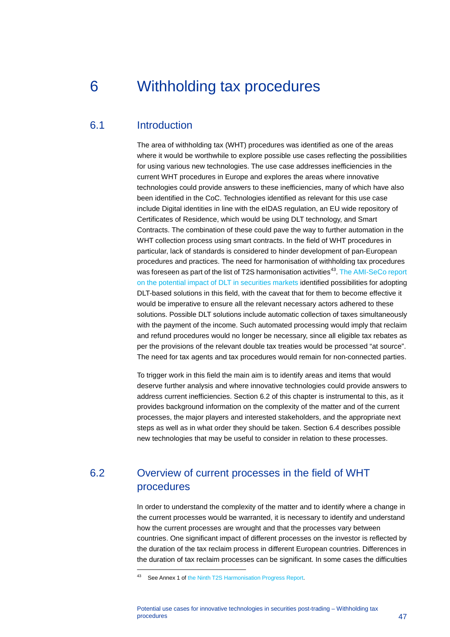## <span id="page-47-0"></span>6 Withholding tax procedures

### 6.1 Introduction

<span id="page-47-1"></span>The area of withholding tax (WHT) procedures was identified as one of the areas where it would be worthwhile to explore possible use cases reflecting the possibilities for using various new technologies. The use case addresses inefficiencies in the current WHT procedures in Europe and explores the areas where innovative technologies could provide answers to these inefficiencies, many of which have also been identified in the CoC. Technologies identified as relevant for this use case include Digital identities in line with the eIDAS regulation, an EU wide repository of Certificates of Residence, which would be using DLT technology, and Smart Contracts. The combination of these could pave the way to further automation in the WHT collection process using smart contracts. In the field of WHT procedures in particular, lack of standards is considered to hinder development of pan-European procedures and practices. The need for harmonisation of withholding tax procedures was foreseen as part of the list of T2S harmonisation activities<sup>[43](#page-47-3)</sup>. The AMI-SeCo report [on the potential impact of DLT in securities markets](https://www.ecb.europa.eu/paym/intro/governance/shared/pdf/201709_dlt_impact_on_harmonisation_and_integration.pdf) identified possibilities for adopting DLT-based solutions in this field, with the caveat that for them to become effective it would be imperative to ensure all the relevant necessary actors adhered to these solutions. Possible DLT solutions include automatic collection of taxes simultaneously with the payment of the income. Such automated processing would imply that reclaim and refund procedures would no longer be necessary, since all eligible tax rebates as per the provisions of the relevant double tax treaties would be processed "at source". The need for tax agents and tax procedures would remain for non-connected parties.

To trigger work in this field the main aim is to identify areas and items that would deserve further analysis and where innovative technologies could provide answers to address current inefficiencies. Section 6.2 of this chapter is instrumental to this, as it provides background information on the complexity of the matter and of the current processes, the major players and interested stakeholders, and the appropriate next steps as well as in what order they should be taken. Section 6.4 describes possible new technologies that may be useful to consider in relation to these processes.

## <span id="page-47-2"></span>6.2 Overview of current processes in the field of WHT procedures

In order to understand the complexity of the matter and to identify where a change in the current processes would be warranted, it is necessary to identify and understand how the current processes are wrought and that the processes vary between countries. One significant impact of different processes on the investor is reflected by the duration of the tax reclaim process in different European countries. Differences in the duration of tax reclaim processes can be significant. In some cases the difficulties

<span id="page-47-3"></span><sup>43</sup> See Annex 1 o[f the Ninth T2S Harmonisation Progress Report.](https://www.ecb.europa.eu/paym/intro/publications/pdf/ecb.targetsechpr181017.en.pdf?ae3a947ea50e4f19775c4c31d89d05f0)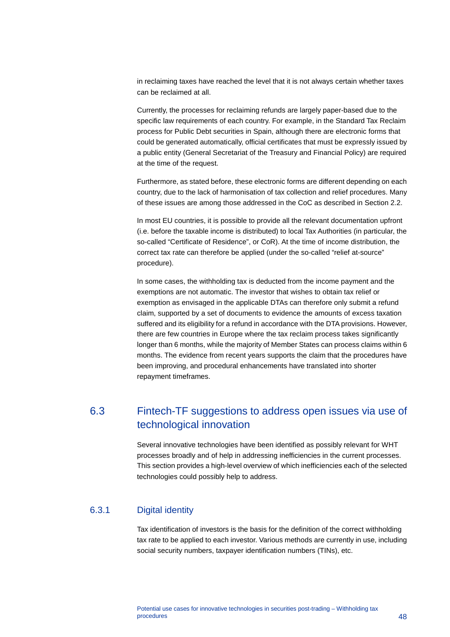in reclaiming taxes have reached the level that it is not always certain whether taxes can be reclaimed at all.

Currently, the processes for reclaiming refunds are largely paper-based due to the specific law requirements of each country. For example, in the Standard Tax Reclaim process for Public Debt securities in Spain, although there are electronic forms that could be generated automatically, official certificates that must be expressly issued by a public entity (General Secretariat of the Treasury and Financial Policy) are required at the time of the request.

Furthermore, as stated before, these electronic forms are different depending on each country, due to the lack of harmonisation of tax collection and relief procedures. Many of these issues are among those addressed in the CoC as described in Section 2.2.

In most EU countries, it is possible to provide all the relevant documentation upfront (i.e. before the taxable income is distributed) to local Tax Authorities (in particular, the so-called "Certificate of Residence", or CoR). At the time of income distribution, the correct tax rate can therefore be applied (under the so-called "relief at-source" procedure).

In some cases, the withholding tax is deducted from the income payment and the exemptions are not automatic. The investor that wishes to obtain tax relief or exemption as envisaged in the applicable DTAs can therefore only submit a refund claim, supported by a set of documents to evidence the amounts of excess taxation suffered and its eligibility for a refund in accordance with the DTA provisions. However, there are few countries in Europe where the tax reclaim process takes significantly longer than 6 months, while the majority of Member States can process claims within 6 months. The evidence from recent years supports the claim that the procedures have been improving, and procedural enhancements have translated into shorter repayment timeframes.

## <span id="page-48-0"></span>6.3 Fintech-TF suggestions to address open issues via use of technological innovation

Several innovative technologies have been identified as possibly relevant for WHT processes broadly and of help in addressing inefficiencies in the current processes. This section provides a high-level overview of which inefficiencies each of the selected technologies could possibly help to address.

#### 6.3.1 Digital identity

Tax identification of investors is the basis for the definition of the correct withholding tax rate to be applied to each investor. Various methods are currently in use, including social security numbers, taxpayer identification numbers (TINs), etc.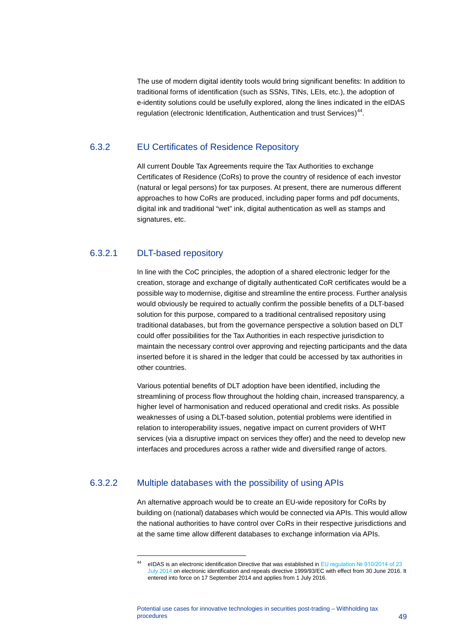The use of modern digital identity tools would bring significant benefits: In addition to traditional forms of identification (such as SSNs, TINs, LEIs, etc.), the adoption of e-identity solutions could be usefully explored, along the lines indicated in the eIDAS regulation (electronic Identification, Authentication and trust Services)<sup>44</sup>.

#### 6.3.2 EU Certificates of Residence Repository

All current Double Tax Agreements require the Tax Authorities to exchange Certificates of Residence (CoRs) to prove the country of residence of each investor (natural or legal persons) for tax purposes. At present, there are numerous different approaches to how CoRs are produced, including paper forms and pdf documents, digital ink and traditional "wet" ink, digital authentication as well as stamps and signatures, etc.

#### 6.3.2.1 DLT-based repository

-

In line with the CoC principles, the adoption of a shared electronic ledger for the creation, storage and exchange of digitally authenticated CoR certificates would be a possible way to modernise, digitise and streamline the entire process. Further analysis would obviously be required to actually confirm the possible benefits of a DLT-based solution for this purpose, compared to a traditional centralised repository using traditional databases, but from the governance perspective a solution based on DLT could offer possibilities for the Tax Authorities in each respective jurisdiction to maintain the necessary control over approving and rejecting participants and the data inserted before it is shared in the ledger that could be accessed by tax authorities in other countries.

Various potential benefits of DLT adoption have been identified, including the streamlining of process flow throughout the holding chain, increased transparency, a higher level of harmonisation and reduced operational and credit risks. As possible weaknesses of using a DLT-based solution, potential problems were identified in relation to interoperability issues, negative impact on current providers of WHT services (via a disruptive impact on services they offer) and the need to develop new interfaces and procedures across a rather wide and diversified range of actors.

#### <span id="page-49-0"></span>6.3.2.2 Multiple databases with the possibility of using APIs

An alternative approach would be to create an EU-wide repository for CoRs by building on (national) databases which would be connected via APIs. This would allow the national authorities to have control over CoRs in their respective jurisdictions and at the same time allow different databases to exchange information via APIs.

<sup>44</sup> eIDAS is an electronic identification Directive that was established in [EU regulation № 910/2014 of 23](https://eur-lex.europa.eu/legal-content/EN/TXT/?uri=uriserv%3AOJ.L_.2014.257.01.0073.01.ENG)  [July 2014](https://eur-lex.europa.eu/legal-content/EN/TXT/?uri=uriserv%3AOJ.L_.2014.257.01.0073.01.ENG) on electronic identification and repeals directive 1999/93/EC with effect from 30 June 2016. It entered into force on 17 September 2014 and applies from 1 July 2016.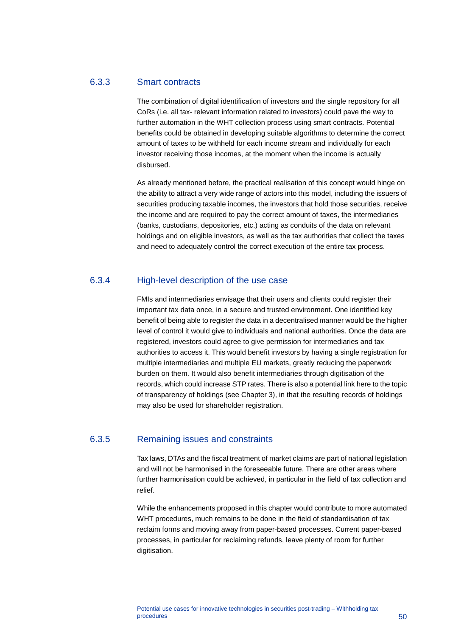#### 6.3.3 Smart contracts

The combination of digital identification of investors and the single repository for all CoRs (i.e. all tax- relevant information related to investors) could pave the way to further automation in the WHT collection process using smart contracts. Potential benefits could be obtained in developing suitable algorithms to determine the correct amount of taxes to be withheld for each income stream and individually for each investor receiving those incomes, at the moment when the income is actually disbursed.

As already mentioned before, the practical realisation of this concept would hinge on the ability to attract a very wide range of actors into this model, including the issuers of securities producing taxable incomes, the investors that hold those securities, receive the income and are required to pay the correct amount of taxes, the intermediaries (banks, custodians, depositories, etc.) acting as conduits of the data on relevant holdings and on eligible investors, as well as the tax authorities that collect the taxes and need to adequately control the correct execution of the entire tax process.

#### 6.3.4 High-level description of the use case

FMIs and intermediaries envisage that their users and clients could register their important tax data once, in a secure and trusted environment. One identified key benefit of being able to register the data in a decentralised manner would be the higher level of control it would give to individuals and national authorities. Once the data are registered, investors could agree to give permission for intermediaries and tax authorities to access it. This would benefit investors by having a single registration for multiple intermediaries and multiple EU markets, greatly reducing the paperwork burden on them. It would also benefit intermediaries through digitisation of the records, which could increase STP rates. There is also a potential link here to the topic of transparency of holdings (see Chapter [3\)](#page-21-0), in that the resulting records of holdings may also be used for shareholder registration.

#### 6.3.5 Remaining issues and constraints

Tax laws, DTAs and the fiscal treatment of market claims are part of national legislation and will not be harmonised in the foreseeable future. There are other areas where further harmonisation could be achieved, in particular in the field of tax collection and relief.

While the enhancements proposed in this chapter would contribute to more automated WHT procedures, much remains to be done in the field of standardisation of tax reclaim forms and moving away from paper-based processes. Current paper-based processes, in particular for reclaiming refunds, leave plenty of room for further digitisation.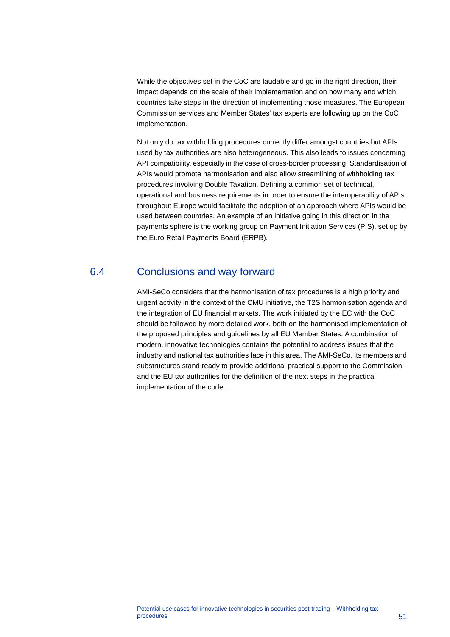While the objectives set in the CoC are laudable and go in the right direction, their impact depends on the scale of their implementation and on how many and which countries take steps in the direction of implementing those measures. The European Commission services and Member States' tax experts are following up on the CoC implementation.

Not only do tax withholding procedures currently differ amongst countries but APIs used by tax authorities are also heterogeneous. This also leads to issues concerning API compatibility, especially in the case of cross-border processing. Standardisation of APIs would promote harmonisation and also allow streamlining of withholding tax procedures involving Double Taxation. Defining a common set of technical, operational and business requirements in order to ensure the interoperability of APIs throughout Europe would facilitate the adoption of an approach where APIs would be used between countries. An example of an initiative going in this direction in the payments sphere is the working group on Payment Initiation Services (PIS), set up by the Euro Retail Payments Board (ERPB).

## 6.4 Conclusions and way forward

<span id="page-51-0"></span>AMI-SeCo considers that the harmonisation of tax procedures is a high priority and urgent activity in the context of the CMU initiative, the T2S harmonisation agenda and the integration of EU financial markets. The work initiated by the EC with the CoC should be followed by more detailed work, both on the harmonised implementation of the proposed principles and guidelines by all EU Member States. A combination of modern, innovative technologies contains the potential to address issues that the industry and national tax authorities face in this area. The AMI-SeCo, its members and substructures stand ready to provide additional practical support to the Commission and the EU tax authorities for the definition of the next steps in the practical implementation of the code.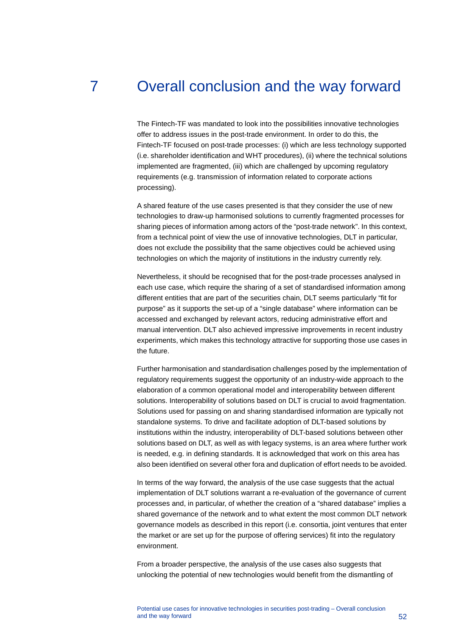## 7 Overall conclusion and the way forward

<span id="page-52-0"></span>The Fintech-TF was mandated to look into the possibilities innovative technologies offer to address issues in the post-trade environment. In order to do this, the Fintech-TF focused on post-trade processes: (i) which are less technology supported (i.e. shareholder identification and WHT procedures), (ii) where the technical solutions implemented are fragmented, (iii) which are challenged by upcoming regulatory requirements (e.g. transmission of information related to corporate actions processing).

A shared feature of the use cases presented is that they consider the use of new technologies to draw-up harmonised solutions to currently fragmented processes for sharing pieces of information among actors of the "post-trade network". In this context, from a technical point of view the use of innovative technologies, DLT in particular, does not exclude the possibility that the same objectives could be achieved using technologies on which the majority of institutions in the industry currently rely.

Nevertheless, it should be recognised that for the post-trade processes analysed in each use case, which require the sharing of a set of standardised information among different entities that are part of the securities chain, DLT seems particularly "fit for purpose" as it supports the set-up of a "single database" where information can be accessed and exchanged by relevant actors, reducing administrative effort and manual intervention. DLT also achieved impressive improvements in recent industry experiments, which makes this technology attractive for supporting those use cases in the future.

Further harmonisation and standardisation challenges posed by the implementation of regulatory requirements suggest the opportunity of an industry-wide approach to the elaboration of a common operational model and interoperability between different solutions. Interoperability of solutions based on DLT is crucial to avoid fragmentation. Solutions used for passing on and sharing standardised information are typically not standalone systems. To drive and facilitate adoption of DLT-based solutions by institutions within the industry, interoperability of DLT-based solutions between other solutions based on DLT, as well as with legacy systems, is an area where further work is needed, e.g. in defining standards. It is acknowledged that work on this area has also been identified on several other fora and duplication of effort needs to be avoided.

In terms of the way forward, the analysis of the use case suggests that the actual implementation of DLT solutions warrant a re-evaluation of the governance of current processes and, in particular, of whether the creation of a "shared database" implies a shared governance of the network and to what extent the most common DLT network governance models as described in this report (i.e. consortia, joint ventures that enter the market or are set up for the purpose of offering services) fit into the regulatory environment.

From a broader perspective, the analysis of the use cases also suggests that unlocking the potential of new technologies would benefit from the dismantling of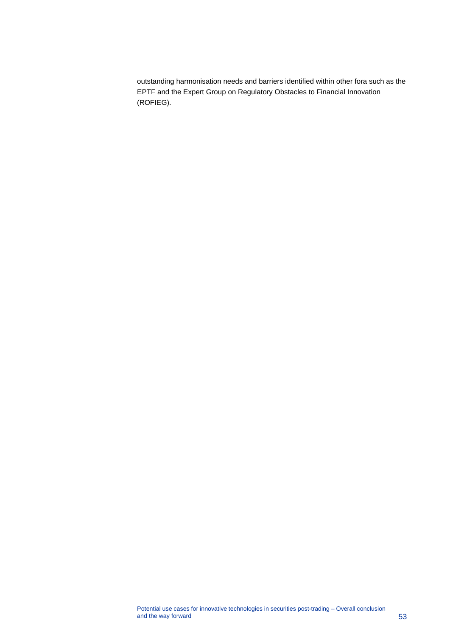outstanding harmonisation needs and barriers identified within other fora such as the EPTF and the Expert Group on Regulatory Obstacles to Financial Innovation (ROFIEG).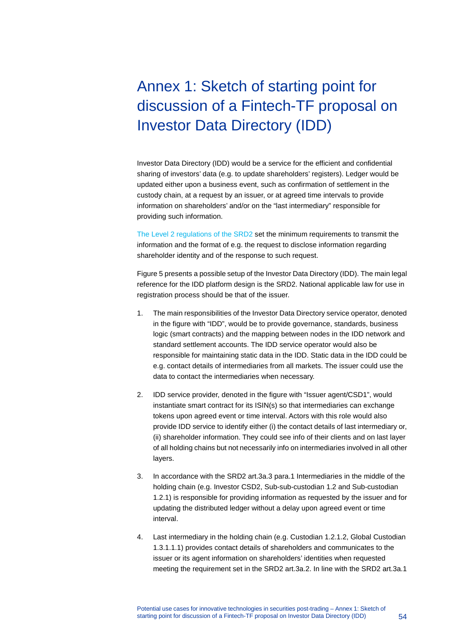# <span id="page-54-0"></span>Annex 1: Sketch of starting point for discussion of a Fintech-TF proposal on Investor Data Directory (IDD)

Investor Data Directory (IDD) would be a service for the efficient and confidential sharing of investors' data (e.g. to update shareholders' registers). Ledger would be updated either upon a business event, such as confirmation of settlement in the custody chain, at a request by an issuer, or at agreed time intervals to provide information on shareholders' and/or on the "last intermediary" responsible for providing such information.

[The Level 2 regulations of the SRD2](https://eur-lex.europa.eu/legal-content/EN/TXT/PDF/?uri=CELEX:32018R1212&from=EN) set the minimum requirements to transmit the information and the format of e.g. the request to disclose information regarding shareholder identity and of the response to such request.

Figure 5 presents a possible setup of the Investor Data Directory (IDD). The main legal reference for the IDD platform design is the SRD2. National applicable law for use in registration process should be that of the issuer.

- 1. The main responsibilities of the Investor Data Directory service operator, denoted in the figure with "IDD", would be to provide governance, standards, business logic (smart contracts) and the mapping between nodes in the IDD network and standard settlement accounts. The IDD service operator would also be responsible for maintaining static data in the IDD. Static data in the IDD could be e.g. contact details of intermediaries from all markets. The issuer could use the data to contact the intermediaries when necessary.
- 2. IDD service provider, denoted in the figure with "Issuer agent/CSD1", would instantiate smart contract for its ISIN(s) so that intermediaries can exchange tokens upon agreed event or time interval. Actors with this role would also provide IDD service to identify either (i) the contact details of last intermediary or, (ii) shareholder information. They could see info of their clients and on last layer of all holding chains but not necessarily info on intermediaries involved in all other layers.
- 3. In accordance with the SRD2 art.3a.3 para.1 Intermediaries in the middle of the holding chain (e.g. Investor CSD2, Sub-sub-custodian 1.2 and Sub-custodian 1.2.1) is responsible for providing information as requested by the issuer and for updating the distributed ledger without a delay upon agreed event or time interval.
- 4. Last intermediary in the holding chain (e.g. Custodian 1.2.1.2, Global Custodian 1.3.1.1.1) provides contact details of shareholders and communicates to the issuer or its agent information on shareholders' identities when requested meeting the requirement set in the SRD2 art.3a.2. In line with the SRD2 art.3a.1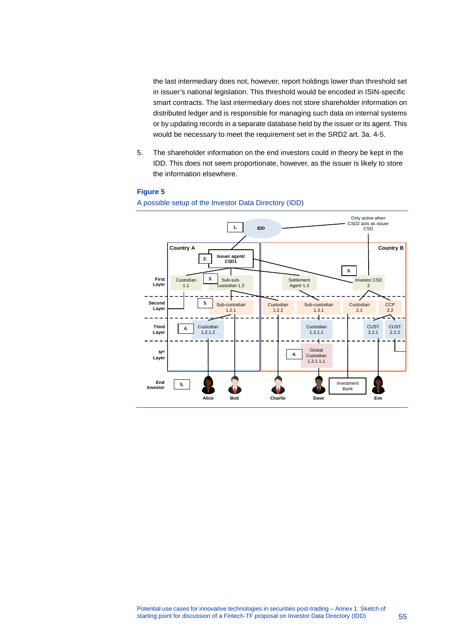the last intermediary does not, however, report holdings lower than threshold set in issuer's national legislation. This threshold would be encoded in ISIN-specific smart contracts. The last intermediary does not store shareholder information on distributed ledger and is responsible for managing such data on internal systems or by updating records in a separate database held by the issuer or its agent. This would be necessary to meet the requirement set in the SRD2 art. 3a. 4-5.

5. The shareholder information on the end investors could in theory be kept in the IDD. This does not seem proportionate, however, as the issuer is likely to store the information elsewhere.

#### **Figure 5**

#### A possible setup of the Investor Data Directory (IDD)

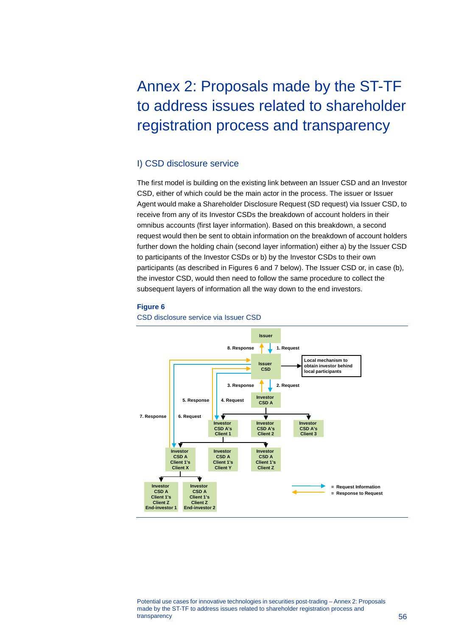# <span id="page-56-0"></span>Annex 2: Proposals made by the ST-TF to address issues related to shareholder registration process and transparency

#### I) CSD disclosure service

The first model is building on the existing link between an Issuer CSD and an Investor CSD, either of which could be the main actor in the process. The issuer or Issuer Agent would make a Shareholder Disclosure Request (SD request) via Issuer CSD, to receive from any of its Investor CSDs the breakdown of account holders in their omnibus accounts (first layer information). Based on this breakdown, a second request would then be sent to obtain information on the breakdown of account holders further down the holding chain (second layer information) either a) by the Issuer CSD to participants of the Investor CSDs or b) by the Investor CSDs to their own participants (as described in Figures 6 and 7 below). The Issuer CSD or, in case (b), the investor CSD, would then need to follow the same procedure to collect the subsequent layers of information all the way down to the end investors.

#### **Figure 6**

CSD disclosure service via Issuer CSD



Potential use cases for innovative technologies in securities post-trading – Annex 2: Proposals made by the ST-TF to address issues related to shareholder registration process and transparency that is a state of the state of the state of the state of the state of the state of the state of the state of the state of the state of the state of the state of the state of the state of the state of the stat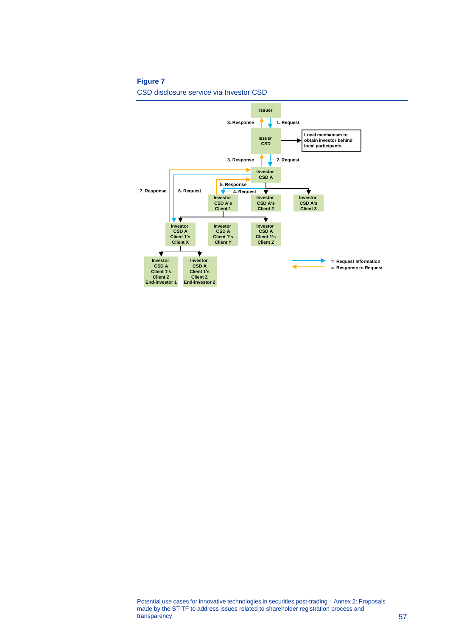#### **Figure 7**

CSD disclosure service via Investor CSD

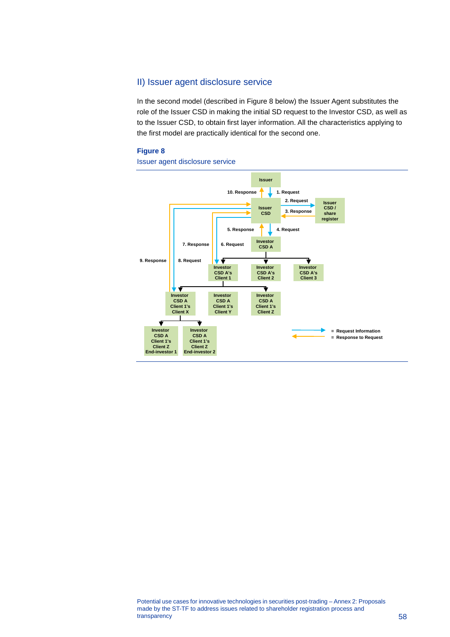### II) Issuer agent disclosure service

In the second model (described in Figure 8 below) the Issuer Agent substitutes the role of the Issuer CSD in making the initial SD request to the Investor CSD, as well as to the Issuer CSD, to obtain first layer information. All the characteristics applying to the first model are practically identical for the second one.

#### **Figure 8**

Issuer agent disclosure service

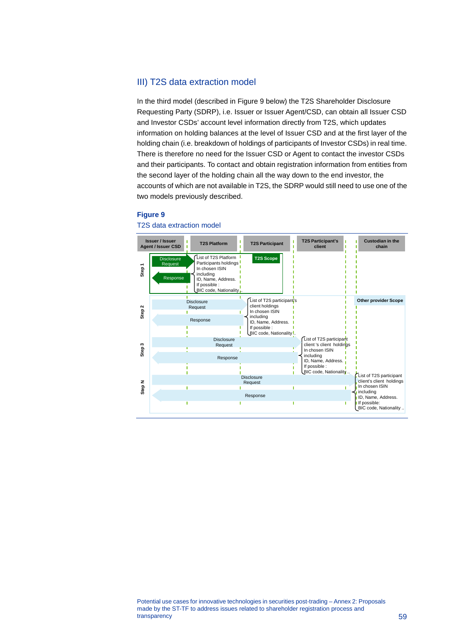### III) T2S data extraction model

In the third model (described in Figure 9 below) the T2S Shareholder Disclosure Requesting Party (SDRP), i.e. Issuer or Issuer Agent/CSD, can obtain all Issuer CSD and Investor CSDs' account level information directly from T2S, which updates information on holding balances at the level of Issuer CSD and at the first layer of the holding chain (i.e. breakdown of holdings of participants of Investor CSDs) in real time. There is therefore no need for the Issuer CSD or Agent to contact the investor CSDs and their participants. To contact and obtain registration information from entities from the second layer of the holding chain all the way down to the end investor, the accounts of which are not available in T2S, the SDRP would still need to use one of the two models previously described.

#### **Figure 9**



#### T2S data extraction model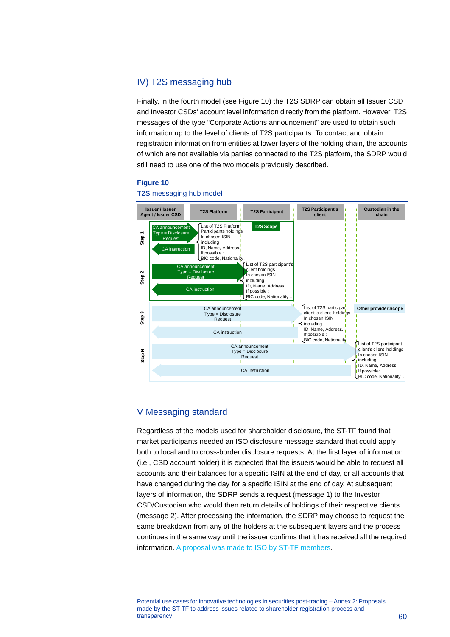### IV) T2S messaging hub

Finally, in the fourth model (see Figure 10) the T2S SDRP can obtain all Issuer CSD and Investor CSDs' account level information directly from the platform. However, T2S messages of the type "Corporate Actions announcement" are used to obtain such information up to the level of clients of T2S participants. To contact and obtain registration information from entities at lower layers of the holding chain, the accounts of which are not available via parties connected to the T2S platform, the SDRP would still need to use one of the two models previously described.

#### **Figure 10**



#### T2S messaging hub model

#### V Messaging standard

Regardless of the models used for shareholder disclosure, the ST-TF found that market participants needed an ISO disclosure message standard that could apply both to local and to cross-border disclosure requests. At the first layer of information (i.e., CSD account holder) it is expected that the issuers would be able to request all accounts and their balances for a specific ISIN at the end of day, or all accounts that have changed during the day for a specific ISIN at the end of day. At subsequent layers of information, the SDRP sends a request (message 1) to the Investor CSD/Custodian who would then return details of holdings of their respective clients (message 2). After processing the information, the SDRP may choose to request the same breakdown from any of the holders at the subsequent layers and the process continues in the same way until the issuer confirms that it has received all the required information[. A proposal was made to ISO by ST-TF members.](https://www.iso20022.org/sites/default/files/documents/BJ/BJ079/ISO20022BJ_TransparencyHoldings_v2.pdf)

Potential use cases for innovative technologies in securities post-trading – Annex 2: Proposals made by the ST-TF to address issues related to shareholder registration process and transparency **60**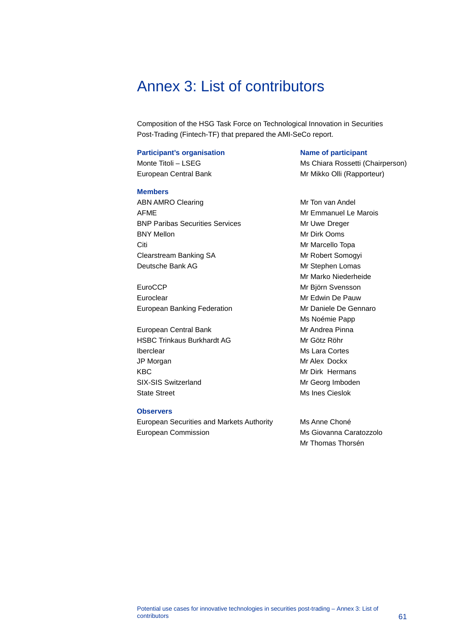## <span id="page-61-0"></span>Annex 3: List of contributors

Composition of the HSG Task Force on Technological Innovation in Securities Post-Trading (Fintech-TF) that prepared the AMI-SeCo report.

#### **Participant's organisation Name of participant**

#### **Members**

ABN AMRO Clearing **Mr Ton Van Andel** AFME Mr Emmanuel Le Marois BNP Paribas Securities Services Mr Uwe Dreger BNY Mellon Mr Dirk Ooms Citi Citi Citi Annual Citi and Citi Annual Citi Annual Citi Annual Citi Annual Citi Annual Citi Annual Citi Annual Citi Annual Citi Annual Citi Annual Citi Annual Citi Annual Citi Annual Citi Annual Citi Annual Citi Annual Clearstream Banking SA Mr Robert Somogyi Deutsche Bank AG Mr Stephen Lomas

EuroCCP Mr Björn Svensson Euroclear Mr Edwin De Pauw European Banking Federation Mr Daniele De Gennaro

European Central Bank Mr Andrea Pinna HSBC Trinkaus Burkhardt AG MIT MIT Götz Röhr Iberclear Ms Lara Cortes JP Morgan Mr Alex Dockx KBC Mr Dirk Hermans SIX-SIS Switzerland Mr Georg Imboden State Street Ms Ines Cieslok

#### **Observers**

European Securities and Markets Authority Ms Anne Choné European Commission **Ms Giovanna Caratozzolo** 

Monte Titoli – LSEG Ms Chiara Rossetti (Chairperson) European Central Bank Mr Mikko Olli (Rapporteur)

> Mr Marko Niederheide Ms Noémie Papp

Mr Thomas Thorsén